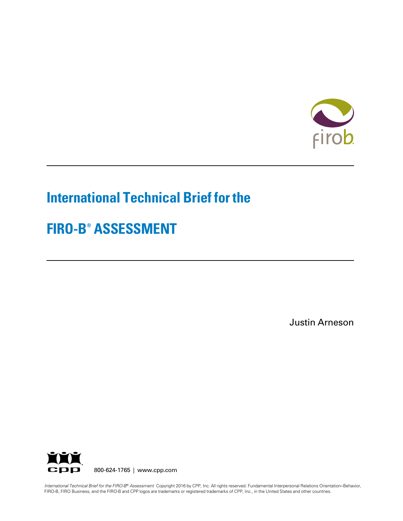

# **International Technical Brief for the**

# **FIRO-B® ASSESSMENT**

Justin Arneson



800-624-1765 | www.cpp.com

FIRO-B, FIRO Business, and the FIRO-B and CPP logos are trademarks or registered trademarks of CPP, Inc., in the United States and other countries. *International Technical Brief for the FIRO-B*® *Assessment* Copyright 2016 by CPP, Inc. All rights reserved. Fundamental Interpersonal Relations Orientation–Behavior,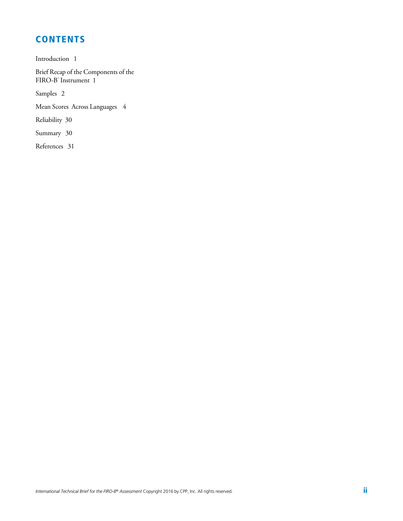## **CONTENTS**

Introduction 1

Brief Recap of the Components of the FIRO-B<sup>®</sup> Instrument 1

Samples 2

Mean Scores Across Languages 4

Reliability 30

Summary 30

References 31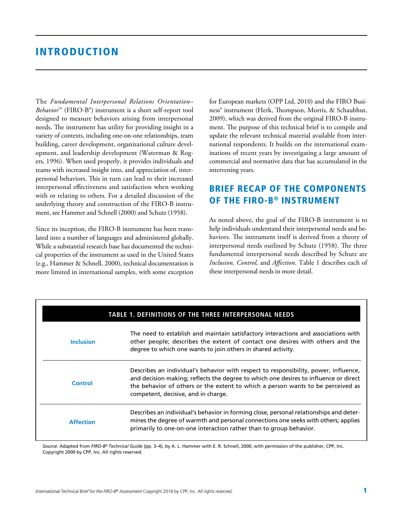### INTRODUCTION

The *Fundamental Interpersonal Relations Orientation– Behavior*™ (FIRO-B®) instrument is a short self-report tool designed to measure behaviors arising from interpersonal needs. The instrument has utility for providing insight in a variety of contexts, including one-on-one relationships, team building, career development, organizational culture development, and leadership development (Waterman & Rogers, 1996). When used properly, it provides individuals and teams with increased insight into, and appreciation of, interpersonal behaviors. This in turn can lead to their increased interpersonal effectiveness and satisfaction when working with or relating to others. For a detailed discussion of the underlying theory and construction of the FIRO-B instrument, see Hammer and Schnell (2000) and Schutz (1958).

Since its inception, the FIRO-B instrument has been translated into a number of languages and administered globally. While a substantial research base has documented the technical properties of the instrument as used in the United States (e.g., Hammer & Schnell, 2000), technical documentation is more limited in international samples, with some exception for European markets (OPP Ltd, 2010) and the FIRO Business® instrument (Herk, Thompson, Morris, & Schaubhut, 2009), which was derived from the original FIRO-B instrument. The purpose of this technical brief is to compile and update the relevant technical material available from international respondents. It builds on the international examinations of recent years by investigating a large amount of commercial and normative data that has accumulated in the intervening years.

### BRIEF RECAP OF THE COMPONENTS OF THE FIRO-B® INSTRUMENT

As noted above, the goal of the FIRO-B instrument is to help individuals understand their interpersonal needs and behaviors. The instrument itself is derived from a theory of interpersonal needs outlined by Schutz (1958). The three fundamental interpersonal needs described by Schutz are *Inclusion, Control,* and *Affection.* Table 1 describes each of these interpersonal needs in more detail.

|                  | TABLE 1. DEFINITIONS OF THE THREE INTERPERSONAL NEEDS                                                                                                                                                                                                                                                  |
|------------------|--------------------------------------------------------------------------------------------------------------------------------------------------------------------------------------------------------------------------------------------------------------------------------------------------------|
| <b>Inclusion</b> | The need to establish and maintain satisfactory interactions and associations with<br>other people; describes the extent of contact one desires with others and the<br>degree to which one wants to join others in shared activity.                                                                    |
| <b>Control</b>   | Describes an individual's behavior with respect to responsibility, power, influence,<br>and decision making; reflects the degree to which one desires to influence or direct<br>the behavior of others or the extent to which a person wants to be perceived as<br>competent, decisive, and in charge. |
| <b>Affection</b> | Describes an individual's behavior in forming close, personal relationships and deter-<br>mines the degree of warmth and personal connections one seeks with others; applies<br>primarily to one-on-one interaction rather than to group behavior.                                                     |

*Source:* Adapted from *FIRO-B*® *Technical Guide* (pp. 3–4), by A. L. Hammer with E. R. Schnell, 2000, with permission of the publisher, CPP, Inc. Copyright 2000 by CPP, Inc. All rights reserved.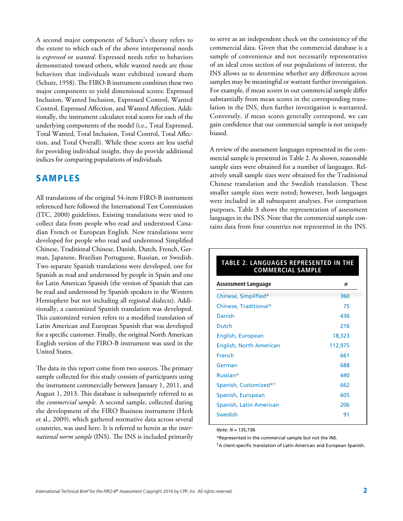A second major component of Schutz's theory refers to the extent to which each of the above interpersonal needs is *expressed* or *wanted.* Expressed needs refer to behaviors demonstrated toward others, while wanted needs are those behaviors that individuals want exhibited toward them (Schutz, 1958). The FIRO-B instrument combines these two major components to yield dimensional scores: Expressed Inclusion, Wanted Inclusion, Expressed Control, Wanted Control, Expressed Affection, and Wanted Affection. Additionally, the instrument calculates total scores for each of the underlying components of the model (i.e., Total Expressed, Total Wanted, Total Inclusion, Total Control, Total Affection, and Total Overall). While these scores are less useful for providing individual insight, they do provide additional indices for comparing populations of individuals.

### SAMPLES

All translations of the original 54-item FIRO-B instrument referenced here followed the International Test Commission (ITC, 2000) guidelines. Existing translations were used to collect data from people who read and understood Canadian French or European English. New translations were developed for people who read and understood Simplified Chinese, Traditional Chinese, Danish, Dutch, French, German, Japanese, Brazilian Portuguese, Russian, or Swedish. Two separate Spanish translations were developed, one for Spanish as read and understood by people in Spain and one for Latin American Spanish (the version of Spanish that can be read and understood by Spanish speakers in the Western Hemisphere but not including all regional dialects). Additionally, a customized Spanish translation was developed. This customized version refers to a modified translation of Latin American and European Spanish that was developed for a specific customer. Finally, the original North American English version of the FIRO-B instrument was used in the United States.

The data in this report come from two sources. The primary sample collected for this study consists of participants using the instrument commercially between January 1, 2011, and August 1, 2013. This database is subsequently referred to as the *commercial sample.* A second sample, collected during the development of the FIRO Business instrument (Herk et al., 2009), which gathered normative data across several countries, was used here. It is referred to herein as the *international norm sample* (INS). The INS is included primarily to serve as an independent check on the consistency of the commercial data. Given that the commercial database is a sample of convenience and not necessarily representative of an ideal cross section of our populations of interest, the INS allows us to determine whether any differences across samples may be meaningful or warrant further investigation. For example, if mean scores in our commercial sample differ substantially from mean scores in the corresponding translation in the INS, then further investigation is warranted. Conversely, if mean scores generally correspond, we can gain confidence that our commercial sample is not uniquely biased.

A review of the assessment languages represented in the commercial sample is presented in Table 2. As shown, reasonable sample sizes were obtained for a number of languages. Relatively small sample sizes were obtained for the Traditional Chinese translation and the Swedish translation. These smaller sample sizes were noted; however, both languages were included in all subsequent analyses. For comparison purposes, Table 3 shows the representation of assessment languages in the INS. Note that the commercial sample contains data from four countries not represented in the INS.

#### **TABLE 2. LANGUAGES REPRESENTED IN THE COMMERCIAL SAMPLE**

| Assessment Language               | n       |
|-----------------------------------|---------|
| Chinese, Simplified*              | 360     |
| Chinese, Traditional*             | 75      |
| Danish                            | 436     |
| <b>Dutch</b>                      | 216     |
| English, European                 | 18,323  |
| English, North American           | 112,975 |
| French                            | 661     |
| German                            | 688     |
| Russian*                          | 440     |
| Spanish, Customized* <sup>†</sup> | 662     |
| Spanish, European                 | 605     |
| Spanish, Latin American           | 206     |
| Swedish                           | 91      |
|                                   |         |

*Note: N* = 135,738.

\*Represented in the commercial sample but not the INS.

†A client-specific translation of Latin American and European Spanish.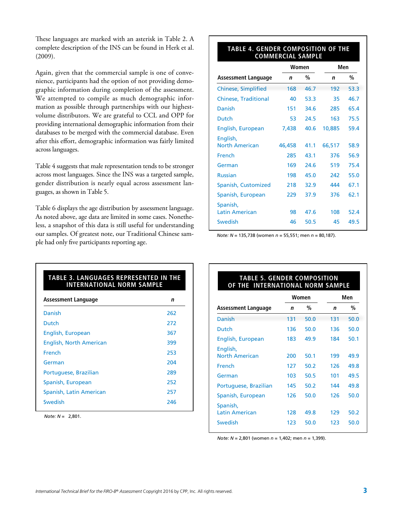These languages are marked with an asterisk in Table 2. A complete description of the INS can be found in Herk et al. (2009).

Again, given that the commercial sample is one of convenience, participants had the option of not providing demographic information during completion of the assessment. We attempted to compile as much demographic information as possible through partnerships with our highestvolume distributors. We are grateful to CCL and OPP for providing international demographic information from their databases to be merged with the commercial database. Even after this effort, demographic information was fairly limited across languages.

Table 4 suggests that male representation tends to be stronger across most languages. Since the INS was a targeted sample, gender distribution is nearly equal across assessment languages, as shown in Table 5.

Table 6 displays the age distribution by assessment language. As noted above, age data are limited in some cases. Nonetheless, a snapshot of this data is still useful for understanding our samples. Of greatest note, our Traditional Chinese sample had only five participants reporting age.

#### **TABLE 4. GENDER COMPOSITION OF THE COMMERCIAL SAMPLE**

|                                   | Women  |      | Men    |      |
|-----------------------------------|--------|------|--------|------|
| Assessment Language               | n      | %    | n      | %    |
| <b>Chinese, Simplified</b>        | 168    | 46.7 | 192    | 53.3 |
| <b>Chinese, Traditional</b>       | 40     | 53.3 | 35     | 46.7 |
| Danish                            | 151    | 34.6 | 285    | 65.4 |
| Dutch                             | 53     | 24.5 | 163    | 75.5 |
| English, European                 | 7,438  | 40.6 | 10,885 | 59.4 |
| English,<br><b>North American</b> | 46,458 | 41.1 | 66,517 | 58.9 |
| French                            | 285    | 43.1 | 376    | 56.9 |
| German                            | 169    | 24.6 | 519    | 75.4 |
| <b>Russian</b>                    | 198    | 45.0 | 242    | 55.0 |
| Spanish, Customized               | 218    | 32.9 | 444    | 67.1 |
| Spanish, European                 | 229    | 37.9 | 376    | 62.1 |
| Spanish,<br><b>Latin American</b> | 98     | 47.6 | 108    | 52.4 |
| Swedish                           | 46     | 50.5 | 45     | 49.5 |

*Note: N* = 135,738 (women *n* = 55,551; men *n* = 80,187).

### Danish 262 Dutch 272 English, European 367 English, North American 399 French 253 German 204 Portuguese, Brazilian 289 Spanish, European 252 Spanish, Latin American 257 Swedish 246 **TABLE 3. LANGUAGES REPRESENTED IN THE INTERNATIONAL NORM SAMPLE Assessment Language <sup>n</sup>**

*Note: N* = 2,801.

#### **TABLE 5. GENDER COMPOSITION OF THE INTERNATIONAL NORM SAMPLE**

|                                              |            | Women        |            | Men          |
|----------------------------------------------|------------|--------------|------------|--------------|
| <b>Assessment Language</b>                   | n          | %            | n          | %            |
| Danish                                       | 131        | 50.0         | 131        | 50.0         |
| Dutch                                        | 136        | 50.0         | 136        | 50.0         |
| English, European                            | 183        | 49.9         | 184        | 50.1         |
| English,<br><b>North American</b><br>French  | 200<br>127 | 50.1<br>50.2 | 199<br>126 | 49.9<br>49.8 |
| German                                       | 103        | 50.5         | 101        | 49.5         |
| Portuguese, Brazilian                        | 145        | 50.2         | 144        | 49.8         |
| Spanish, European                            | 126        | 50.0         | 126        | 50.0         |
| Spanish,<br><b>Latin American</b><br>Swedish | 128<br>123 | 49.8<br>50.0 | 129<br>123 | 50.2<br>50.0 |

*Note: N* = 2,801 (women *n* = 1,402; men *n* = 1,399).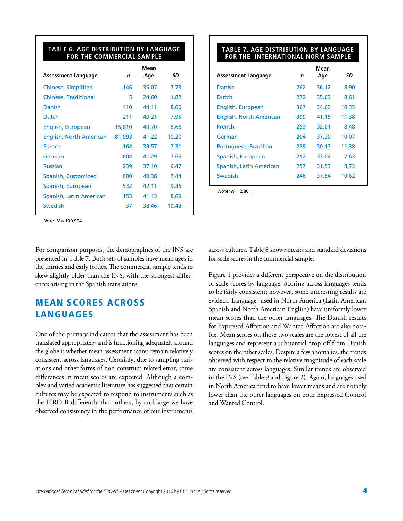#### **TABLE 6. AGE DISTRIBUTION BY LANGUAGE FOR THE COMMERCIAL SAMPLE**

|                                |        | Mean  |       |
|--------------------------------|--------|-------|-------|
| Assessment Language            | n      | Age   | SD    |
| Chinese, Simplified            | 146    | 35.07 | 7.73  |
| <b>Chinese, Traditional</b>    | 5      | 24.60 | 1.82  |
| Danish                         | 410    | 44.11 | 8.00  |
| Dutch                          | 211    | 40.21 | 7.95  |
| English, European              | 15,810 | 40.70 | 8.66  |
| <b>English, North American</b> | 81,993 | 41.22 | 10.20 |
| French                         | 164    | 39.57 | 7.31  |
| German                         | 604    | 41.29 | 7.66  |
| <b>Russian</b>                 | 239    | 37.10 | 6.47  |
| Spanish, Customized            | 600    | 40.38 | 7.44  |
| Spanish, European              | 532    | 42.11 | 9.36  |
| Spanish, Latin American        | 153    | 41.13 | 8.69  |
| Swedish                        | 37     | 38.46 | 10.43 |
|                                |        |       |       |

#### **TABLE 7. AGE DISTRIBUTION BY LANGUAGE FOR THE INTERNATIONAL NORM SAMPLE**

|                                |     | Mean  |       |
|--------------------------------|-----|-------|-------|
| Assessment Language            | n   | Age   | SD    |
| Danish                         | 262 | 36.12 | 8.90  |
| Dutch                          | 272 | 35.63 | 8.61  |
| English, European              | 367 | 34.62 | 10.35 |
| <b>English, North American</b> | 399 | 41.15 | 11.38 |
| French                         | 253 | 32.01 | 8.48  |
| German                         | 204 | 37.20 | 10.07 |
| Portuguese, Brazilian          | 289 | 30.17 | 11.38 |
| Spanish, European              | 252 | 33.04 | 7.63  |
| Spanish, Latin American        | 257 | 31.53 | 8.73  |
| Swedish                        | 246 | 37.54 | 10.62 |
|                                |     |       |       |

*Note: N* = 2,801.

*Note: N* = 100,904.

For comparison purposes, the demographics of the INS are presented in Table 7. Both sets of samples have mean ages in the thirties and early forties. The commercial sample tends to skew slightly older than the INS, with the strongest differences arising in the Spanish translations.

### MEAN SCORES ACROSS LANGUAGES

One of the primary indicators that the assessment has been translated appropriately and is functioning adequately around the globe is whether mean assessment scores remain relatively consistent across languages. Certainly, due to sampling variations and other forms of non-construct-related error, some differences in mean scores are expected. Although a complex and varied academic literature has suggested that certain cultures may be expected to respond to instruments such as the FIRO-B differently than others, by and large we have observed consistency in the performance of our instruments

across cultures. Table 8 shows means and standard deviations for scale scores in the commercial sample.

Figure 1 provides a different perspective on the distribution of scale scores by language. Scoring across languages tends to be fairly consistent; however, some interesting results are evident. Languages used in North America (Latin American Spanish and North American English) have uniformly lower mean scores than the other languages. The Danish results for Expressed Affection and Wanted Affection are also notable. Mean scores on those two scales are the lowest of all the languages and represent a substantial drop-off from Danish scores on the other scales. Despite a few anomalies, the trends observed with respect to the relative magnitude of each scale are consistent across languages. Similar trends are observed in the INS (see Table 9 and Figure 2). Again, languages used in North America tend to have lower means and are notably lower than the other languages on both Expressed Control and Wanted Control.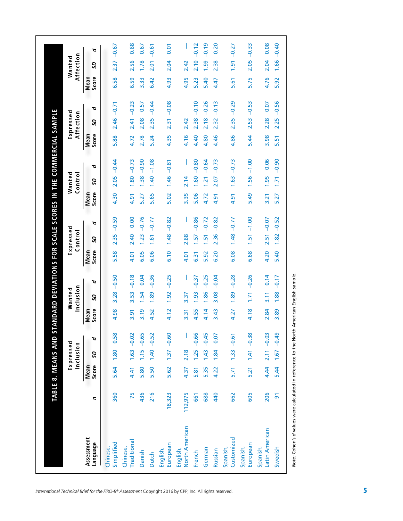|                            |                |               | Expressed<br>Inclusion |               |               | nclusion<br>Wanted |         |               | Expressed<br>Control |         |               | Wanted<br>Control |         |               | Expressed<br>Affection |         |               | Affection<br>Wanted                        |
|----------------------------|----------------|---------------|------------------------|---------------|---------------|--------------------|---------|---------------|----------------------|---------|---------------|-------------------|---------|---------------|------------------------|---------|---------------|--------------------------------------------|
| Assessment<br>Language     | 2              | Score<br>Mean | 50                     | ত             | Score<br>Mean | <b>GS</b>          | ত       | Score<br>Mean | S                    | ত       | Mean<br>Score | <b>GS</b>         | ত       | Score<br>Mean | <b>GS</b>              | ত       | Score<br>Mean | S                                          |
| Simplified<br>Chinese,     | 360            | 5.64          | 1.80                   | 0.58          | 4.98          | 3.28               | $-0.50$ | 5.58          | 2.35                 | $-0.59$ | 4.30          | 2.05              | $-0.44$ | 5.88          | 2.46                   | $-0.71$ | 6.58          | $\overline{37}$<br>$\overline{\mathsf{N}}$ |
| Traditional<br>Chinese,    | 75             | 4.41          |                        | $1.63 - 0.02$ | 3.91          | 3.53               | $-0.18$ | 4.01          | 2.40                 | 0.00    | 4.91          | 1.80              | $-0.73$ | 4.72          | 2.41                   | $-0.23$ | 6.59          | 2.56                                       |
| Danish                     | 436            | 5.80          | 1.15                   | $-0.65$       | 3.19          | 1.54               | 0.04    | 6.05          | 1.23                 | $-0.76$ | 5.27          | 1.38              | $-0.90$ | 2.78          | 2.08                   | 0.57    | 3.33          | 1.78                                       |
| <b>Dutch</b>               | 216            | 5.50          |                        | $1,40 -0.52$  | 4.52          | 1.89               | $-0.36$ | 6.06          | 1.61                 | $-0.77$ | 5.65          | 1.40              | $-1.08$ | 5.24          | 2.35                   | $-0.44$ | 6.42          | 2.01                                       |
| European<br>English,       | 18,323         | 5.62          |                        | $1.37 - 0.60$ | 4.12          | 1.92               | $-0.25$ | 6.10          | 1.48                 | $-0.82$ | 5.02          | 1.46              | $-0.81$ | 4.35          | 2.31                   | $-0.08$ | 4.93          | 2.04                                       |
| North American<br>English, | 112,975        | 4.37          | 2.18                   |               | 3.31          | 3.37               |         | 4.01          | 2.68                 |         | 3.35          | 2.14              |         | 4.16          | 2.42                   |         | 4.95          | 2.42                                       |
| French                     | 661            | 5.81          | <b>1.25</b>            | $-0.66$       | 4.55          | 1.93               | $-0.37$ | 6.31          | 1.57                 | $-0.86$ | 5.06          | 1.60              | $-0.80$ | 4.40          | 2.38                   | $-0.10$ | 5.23          | 2.10                                       |
| German                     | 688            | 5.35          |                        | $1.43 - 0.45$ | 4.14          | 1.86               | $-0.25$ | 5.92          | 1.51                 | $-0.72$ | 4.72          | <u>اخ</u>         | $-0.64$ | 4.80          | 2.18                   | $-0.26$ | 5.40          | <b>1.99</b>                                |
| Russian                    | 440            | 4.22          | 1.84                   | 0.07          | 3.43          | 3.08               | $-0.04$ | 6.20          | 2.36                 | $-0.82$ | 4.91          | 2.07              | $-0.73$ | 4.46          | 2.32                   | $-0.13$ | 4.47          | 2.38                                       |
| Customized<br>Spanish,     | 662            | 5.71          |                        | $1.33 - 0.61$ | 4.27          | 1.89               | $-0.28$ | 6.08          | 1.48                 | $-0.77$ | 4.91          | 1.63              | $-0.73$ | 4.86          | 2.35                   | $-0.29$ | 5.61          | 1.91                                       |
| European<br>Spanish,       | 605            | 5.21          |                        | $1.41 - 0.38$ | 4.18          | 1.71               | $-0.26$ | 6.68          | 1.51                 | $-1.00$ | 5.49          | 1.56              | $-1.00$ | 5.44          | 2.53                   | $-0.53$ | 5.75          | 2.05                                       |
| Latin American<br>Spanish, | 206            | 4.44          |                        | $2.11 - 0.03$ | 2.84          | $\frac{1}{2}$      | 0.14    | 4.20          | 2.51                 | $-0.07$ | 3.21          | $-95$             | 0.06    | 3.98          | 2.28                   | 0.07    | 4.76          | 2.04                                       |
| Swedish                    | $\overline{5}$ | 5.44          | 1.67                   | $-0.49$       | 89<br>m       | 1.88               | $-0.17$ | 5.40          | 1.82                 | $-0.52$ | 5.27          | 1.71              | $-0.90$ | 51<br>m       | 2.25                   | $-0.56$ | 5.92          | 1.66                                       |

Note: Cohen's d'values were calculated in reference to the North American English sample. *Note:* Cohen's *d* values were calculated in reference to the North American English sample.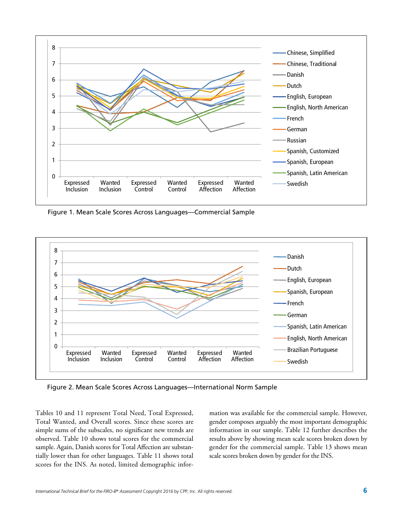

Figure 1. Mean Scale Scores Across Languages—Commercial Sample



Figure 2. Mean Scale Scores Across Languages—International Norm Sample

Tables 10 and 11 represent Total Need, Total Expressed, Total Wanted, and Overall scores. Since these scores are simple sums of the subscales, no significant new trends are observed. Table 10 shows total scores for the commercial sample. Again, Danish scores for Total Affection are substantially lower than for other languages. Table 11 shows total scores for the INS. As noted, limited demographic infor-

mation was available for the commercial sample. However, gender composes arguably the most important demographic information in our sample. Table 12 further describes the results above by showing mean scale scores broken down by gender for the commercial sample. Table 13 shows mean scale scores broken down by gender for the INS.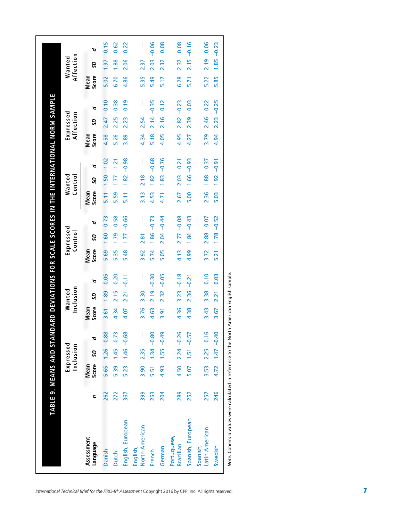|                                                                                           | TABLE 9. MEANS AND STAN |               |                        |                     |               |                     |         | DARD DEVIATIONS FOR SCALE SCORES IN THE INTERNATIONAL NORM SAMPLE |                      |         |                      |                  |         |               |                        |         |               |                     |         |
|-------------------------------------------------------------------------------------------|-------------------------|---------------|------------------------|---------------------|---------------|---------------------|---------|-------------------------------------------------------------------|----------------------|---------|----------------------|------------------|---------|---------------|------------------------|---------|---------------|---------------------|---------|
|                                                                                           |                         |               | Expressed<br>Inclusion |                     |               | Inclusion<br>Wanted |         |                                                                   | Expressed<br>Control |         |                      | Wanted<br>Contro |         |               | Expressed<br>Affection |         |               | Affection<br>Wanted |         |
| Assessment<br>Language                                                                    | Ξ                       | Score<br>Mean | SD                     | ত                   | Score<br>Mean | SD                  | ত       | Score<br>Mean                                                     | SD                   | ত       | Score<br><b>Mean</b> | SD               | ত       | Score<br>Mean | SD                     | ত       | Score<br>Mean | SD                  | ত       |
| Danish                                                                                    | 262                     |               |                        | 5.65 1.26 -0.88     | 3.61          | 1.89                | 0.05    | 5.69                                                              | 1.60                 | $-0.73$ | 5.11                 | $1.50 -$         | $-1.02$ | 4.58          | 2.47                   | $-0.10$ | 5.02          | 1.97                | 0.15    |
| <b>Dutch</b>                                                                              | 272                     | 5.39          |                        | $1.45 - 0.73$       | 4.34          | 2.15                | $-0.20$ | 5.35                                                              | 1.79                 | $-0.58$ | 5.59                 | 1.77             | $-1.21$ | 5.26          | 2.25                   | $-0.38$ | 6.70          | 1.88                | $-0.62$ |
| English, European                                                                         | 367                     | 5.23          |                        | $1.46 - 0.68$       | 4.07          | 2.21                | $-0.11$ | 5.48                                                              | 1.77                 | $-0.66$ | 5.11                 | 1.82             | $-0.98$ | 3.89          | 2.23                   | 0.19    | 4.86          | 2.06                | 0.22    |
| North American<br>English,                                                                | 399                     | 3.90          | 2.35                   |                     | 3.76          | 3.30                | I       | 3.92                                                              | 2.81                 | I       | 3.13                 | 2.18             |         | 4.34          | 2.54                   | I       | 5.35          | 2.37                |         |
| French                                                                                    | 253                     | 5.51          |                        | $1.34 - 0.80$       | 4.63          | 2.19                | $-0.30$ | 5.74                                                              | 1.86                 | $-0.73$ | 4.53                 | 1.82             | $-0.68$ | 5.18          | 2.14                   | $-0.35$ | 5.49          | 2.03                | $-0.06$ |
| German                                                                                    | 204                     | 4.93          |                        | $1.55 - 0.49$       | $\frac{5}{3}$ | 2.32                | $-0.05$ | 5.05                                                              | 2.04                 | $-0.44$ | 4.71                 | 1.83             | $-0.76$ | 4.05          | 2.16                   | 0.12    | 5.17          | 2.32                | 0.08    |
| Portuguese,<br>Brazilian                                                                  | 289                     | 4.50          |                        | $2.24 - 0.26$       | 4.36          | 3.23                | $-0.18$ | 4.13                                                              | 2.77                 | $-0.08$ | 2.67                 | 2.03             | 0.21    | 4.95          | 2.82                   | $-0.23$ | 6.28          | 2.37                | 0.08    |
| Spanish, European                                                                         | 252                     | 5.07          |                        | $1.51 - 0.57$       | 4.38          | 2.36                | $-0.21$ | 4.99                                                              | 1.84                 | $-0.43$ | 5.00                 | 1.66             | $-0.93$ | 4.27          | 2.39                   | 0.03    | 5.71          | 2.15                | $-0.16$ |
| Latin American<br>Spanish,                                                                | 257                     |               |                        | 3.53 2.25 0.16      | 3.43          | 3.38                | 0.10    | 3.72                                                              | 2.88                 | 0.07    | 2.36                 | 1.88             | 0.37    | 3.79          | 2.46                   | 0.22    | 5.22          | 2.19                | 0.06    |
| Swedish                                                                                   | 246                     |               |                        | $4.72$ 1.47 $-0.40$ | 3.67          | 2.21                | 0.03    | 5.21                                                              | 1.78                 | $-0.52$ | 5.03                 | 1.92             | $-0.91$ | 4.94          | 2.23                   | $-0.25$ | 5.85          | 1.85                | $-0.23$ |
| Note: Cohen's d'values were calculated in reference to the North American English sample. |                         |               |                        |                     |               |                     |         |                                                                   |                      |         |                      |                  |         |               |                        |         |               |                     |         |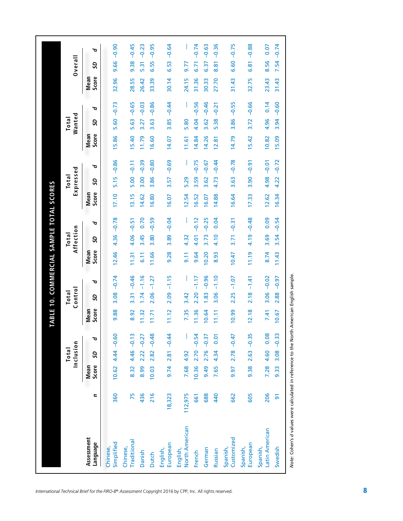|                            |                |                      | Inclusion<br><b>Total</b> |               |               | Control<br><b>Total</b> |               |               | Affection<br>Total |         |               | Expressed<br>Total |               |               | Wanted<br>Total |         |               | Overall         |
|----------------------------|----------------|----------------------|---------------------------|---------------|---------------|-------------------------|---------------|---------------|--------------------|---------|---------------|--------------------|---------------|---------------|-----------------|---------|---------------|-----------------|
| Assessment<br>Language     | Ξ              | <b>Mean</b><br>Score | S                         | ত             | Score<br>Mean | S                       | ত             | Score<br>Mean | SD                 | ত       | Score<br>Mean | S                  | ত             | Score<br>Mean | SD              | ত       | Score<br>Mean | S               |
| Simplified<br>Chinese      | 360            | 10.62                |                           | $4.44 - 0.60$ | 9.88          | 3.08                    | $-0.74$       | 12.46         | 4.36               | $-0.78$ | 17.10         | 5.15               | $-0.86$       | 15.86         | 5.60            | $-0.73$ | 32.96         | $-0.90$<br>9.66 |
| Traditional<br>Chinese,    | 75             | 8.32                 |                           | $4.46 - 0.13$ | 8.92          | 3.31                    | $-0.46$       | 11.31         | 4.06               | $-0.51$ | 13.15         | 5.00               | $-0.11$       | 15.40         | 5.63            | $-0.65$ | 28.55         | 9.38            |
| Danish                     | 436            | 8.99                 | 2.22                      | $-0.27$       | 11.32         | 1.74                    | $-1.16$       | 6.11          | 3.45               | 0.70    | 14.62         | 3.00               | $-0.39$       | 11.79         | 3.27            | $-0.03$ | 26.42         | 5.31            |
| Dutch                      | 216            | 10.03                | 2.82                      | $-0.48$       | 11.71         | 2.06                    | $-1.27$       | 11.66         | 3.80               | $-0.59$ | 16.80         | 3.86               | $-0.80$       | 16.60         | 3.63            | $-0.86$ | 33.39         | 6.55            |
| European<br>English,       | 18,323         | 9.74                 |                           | $2.81 - 0.44$ | 11.12         | 2.09                    | $-1.15$       | 9.28          | 3.89               | $-0.04$ | 16.07         | 3.57               | $-0.69$       | 14.07         | 3.85            | $-0.44$ | 30.14         | 6.53            |
| North American<br>English, | 112,975        | 7.68                 | 4.92                      |               | 7.35          | 3.42                    |               | $\frac{1}{9}$ | 4.32               |         | 12.54         | 5.29               |               | 11.61         | 5.80            |         | 24.15         | 9.77            |
| French                     | 661            | 10.36                | 2.70                      | $-0.54$       | 11.36         | 2.20                    | $-1.17$       | 9.64          | 4.01               | $-0.12$ | 16.52         | 3.59               | $-0.75$       | 14.84         | 4.04            | $-0.56$ | 31.36         | 6.71            |
| German                     | 688            | 9.49                 | 2.76                      | $-0.37$       | 10.64         | 1.83                    | $-0.96$       | 10.20         | 3.73               | $-0.25$ | 16.07         | 3.62               | $-0.67$       | 14.26         | 3.62            | $-0.46$ | 30.33         | 6.37            |
| Russian                    | 440            | 7.65                 | 4.34                      | 0.01          | 11.11         | 3.06                    | $-1.10$       | 8.93          | 4.10               | 0.04    | 14.88         | 4.73               | $-0.44$       | 12.81         | 5.38            | $-0.21$ | 27.70         | 8.81            |
| Customized<br>Spanish,     | 662            | 9.97                 | 2.78                      | $-0.47$       | 10.99         | 2.25                    | $-1.07$       | 10.47         | 3.71               | $-0.31$ | 16.64         | 3.63               | $-0.78$       | 14.79         | 3.86            | $-0.55$ | 31.43         | 6.60            |
| European<br>Spanish,       | 605            | 9.38                 | 2.63                      | $-0.35$       | 12.18         | 2.18                    | $-1.41$       | 11.19         | 4.19               | $-0.48$ | 17.33         | 3.90               | $-0.91$       | 15.42         | 3.72            | $-0.66$ | 32.75         | 6.81            |
| Latin American<br>Spanish, | 206            | 7.28                 | 4.60                      | 0.08          | 7.41          |                         | $3.06 - 0.02$ | 8.74          | 3.69               | 0.09    | 12.62         |                    | $4.98 - 0.01$ | 10.82         | 4.96            | 0.14    | 23.43         | 8.56            |
| Swedish                    | $\overline{5}$ | 9.33                 | 3.08                      | $-0.33$       | 10.67         | 2.88                    | $-0.97$       | 11.43         | 3.54               | $-0.54$ | 16.34         | 4.22               | $-0.72$       | 15.09         | 3.94            | $-0.60$ | 31.43         | 7.54            |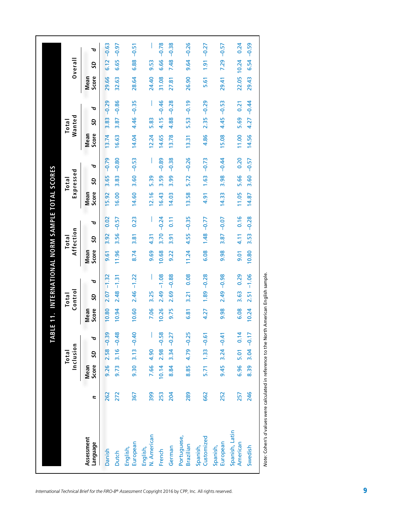|                            |     |               | Total     |               |               | $_{\rm{I}\alpha}$ |               |               | Total     |               |                      | Total     |               |                      | Total  |               |                      |                 |
|----------------------------|-----|---------------|-----------|---------------|---------------|-------------------|---------------|---------------|-----------|---------------|----------------------|-----------|---------------|----------------------|--------|---------------|----------------------|-----------------|
|                            |     |               | Inclusion |               |               | Control           |               |               | Affection |               |                      | Expressed |               |                      | Wanted |               |                      | Overall         |
| Assessment<br>language     | 2   | Score<br>Mean | S         | ত             | Score<br>Mean | SD                | ত             | Score<br>Mean | SD        | ত             | Score<br><b>Mean</b> | SD        | ত             | Score<br><b>Mean</b> | SD     | ত             | Score<br><b>Mean</b> | S               |
| Danish                     | 262 | 9.26          |           | $2.58 - 0.39$ | 10.80         | 2.07              | $-1.32$       | 9.61          | 3.92      | 0.02          | 5.92                 | 3.65      | $-0.79$       | 13.74                | 3.83   | $-0.29$       | 29.66                | $-0.63$<br>6.12 |
| Dutch                      | 272 | 9.73          |           | $3.16 - 0.48$ | 10.94         | 2.48              | $-1.31$       | 11.96         | 3.56      | $-0.57$       | 16.00                | 3.83      | $-0.80$       | 16.63                | 3.87   | $-0.86$       | 32.63                | $-0.97$<br>6.65 |
| European<br>English,       | 367 | 9.30          |           | $3.13 - 0.40$ | 10.60         |                   | $2.46 - 1.22$ | 8.74          | 3.81      | 0.23          | 14.60                | 3.60      | $-0.53$       | 14.04                |        | 4.46 -0.35    | 28.64                | $6.88 - 0.51$   |
| N. American<br>English,    | 399 | 7.66          | 4.90      |               | 7.06          | 3.25              |               | 9.69          | 4.31      |               | 12.16                | 5.39      |               | 12.24                | 5.83   |               | 24.40                | 9.53            |
| French                     | 253 | 10.14         |           | $2.98 - 0.58$ | 10.26         | 2.49              | $-1.08$       | 10.68         |           | $3.70 - 0.24$ | 16.43                | 3.59      | $-0.89$       | 14.65                | 4.15   | $-0.46$       | 31.08                | $-0.78$<br>6.66 |
| German                     | 204 | 8.84          |           | $3.34 - 0.27$ | 9.75          | 2.69              | $-0.88$       | 9.22          | 3.91      | 0.11          | 14.03                | 3.99      | $-0.38$       | 13.78                | 4.88   | $-0.28$       | 27.81                | $-0.38$<br>7.48 |
| Portuguese,<br>Brazilian   | 289 | 8.85          |           | $4.79 - 0.25$ | 6.81          | 3.21              | 0.08          | 11.24         |           | $4.55 - 0.35$ | 13.58                | 5.72      | $-0.26$       | 13.31                | 5.53   | $-0.19$       | 26.90                | $9.64 - 0.26$   |
| Customized<br>Spanish,     | 662 | 5.71          |           | $1.33 - 0.61$ | 4.27          |                   | $1.89 - 0.28$ | 6.08          |           | $1.48 - 0.77$ | 4.91                 |           | $1.63 - 0.73$ | 4.86                 |        | $2.35 - 0.29$ | 5.61                 | $1.91 - 0.27$   |
| European<br>Spanish,       | 252 | 9.45          |           | $3.24 - 0.41$ | 9.98          |                   | $2.49 - 0.98$ | 9.98          |           | $3.87 - 0.07$ | 14.33                |           | $3.98 - 0.44$ | 15.08                |        | $4.45 - 0.53$ | 29.41                | $7.29 - 0.57$   |
| Spanish, Latin<br>American | 257 | 6.96          |           | 5.01 0.14     | 6.08          | 3.63              | 0.29          | 9.01          | 4.11      | 0.16          | 11.05                | 5.66      | 0.20          | 11.00                | 5.69   | 0.21          | 22.05                | 10.24           |
| Swedish                    | 246 | 8.39          |           | $3.04 - 0.17$ | 10.24         | 2.51              | $-1.06$       | 10.80         | 3.53      | $-0.28$       | 14.87                | 3.60      | $-0.57$       | 14.56                | 4.27   | $-0.44$       | 29.43                | $-0.59$<br>6.54 |

Note: Cohen's d'values were calculated in reference to the North American English sample. *Note:* Cohen's *d* values were calculated in reference to the North American English sample.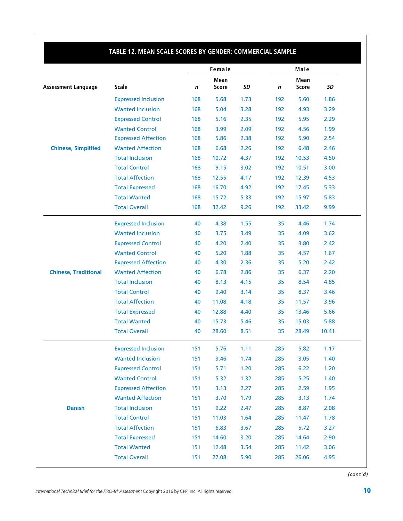|                             |                            |     | Female      |      |             | Male         |           |
|-----------------------------|----------------------------|-----|-------------|------|-------------|--------------|-----------|
|                             |                            |     | <b>Mean</b> |      |             | Mean         |           |
| <b>Assessment Language</b>  | <b>Scale</b>               | n   | Score       | SD   | $\mathbf n$ | <b>Score</b> | <b>SD</b> |
|                             | <b>Expressed Inclusion</b> | 168 | 5.68        | 1.73 | 192         | 5.60         | 1.86      |
|                             | <b>Wanted Inclusion</b>    | 168 | 5.04        | 3.28 | 192         | 4.93         | 3.29      |
|                             | <b>Expressed Control</b>   | 168 | 5.16        | 2.35 | 192         | 5.95         | 2.29      |
|                             | <b>Wanted Control</b>      | 168 | 3.99        | 2.09 | 192         | 4.56         | 1.99      |
|                             | <b>Expressed Affection</b> | 168 | 5.86        | 2.38 | 192         | 5.90         | 2.54      |
| <b>Chinese, Simplified</b>  | <b>Wanted Affection</b>    | 168 | 6.68        | 2.26 | 192         | 6.48         | 2.46      |
|                             | <b>Total Inclusion</b>     | 168 | 10.72       | 4.37 | 192         | 10.53        | 4.50      |
|                             | <b>Total Control</b>       | 168 | 9.15        | 3.02 | 192         | 10.51        | 3.00      |
|                             | <b>Total Affection</b>     | 168 | 12.55       | 4.17 | 192         | 12.39        | 4.53      |
|                             | <b>Total Expressed</b>     | 168 | 16.70       | 4.92 | 192         | 17.45        | 5.33      |
|                             | <b>Total Wanted</b>        | 168 | 15.72       | 5.33 | 192         | 15.97        | 5.83      |
|                             | <b>Total Overall</b>       | 168 | 32.42       | 9.26 | 192         | 33.42        | 9.99      |
|                             | <b>Expressed Inclusion</b> | 40  | 4.38        | 1.55 | 35          | 4.46         | 1.74      |
|                             | <b>Wanted Inclusion</b>    | 40  | 3.75        | 3.49 | 35          | 4.09         | 3.62      |
|                             | <b>Expressed Control</b>   | 40  | 4.20        | 2.40 | 35          | 3.80         | 2.42      |
|                             | <b>Wanted Control</b>      | 40  | 5.20        | 1.88 | 35          | 4.57         | 1.67      |
|                             | <b>Expressed Affection</b> | 40  | 4.30        | 2.36 | 35          | 5.20         | 2.42      |
| <b>Chinese, Traditional</b> | <b>Wanted Affection</b>    | 40  | 6.78        | 2.86 | 35          | 6.37         | 2.20      |
|                             | <b>Total Inclusion</b>     | 40  | 8.13        | 4.15 | 35          | 8.54         | 4.85      |
|                             | <b>Total Control</b>       | 40  | 9.40        | 3.14 | 35          | 8.37         | 3.46      |
|                             | <b>Total Affection</b>     | 40  | 11.08       | 4.18 | 35          | 11.57        | 3.96      |
|                             | <b>Total Expressed</b>     | 40  | 12.88       | 4.40 | 35          | 13.46        | 5.66      |
|                             | <b>Total Wanted</b>        | 40  | 15.73       | 5.46 | 35          | 15.03        | 5.88      |
|                             | <b>Total Overall</b>       | 40  | 28.60       | 8.51 | 35          | 28.49        | 10.41     |
|                             | <b>Expressed Inclusion</b> | 151 | 5.76        | 1.11 | 285         | 5.82         | 1.17      |
|                             | <b>Wanted Inclusion</b>    | 151 | 3.46        | 1.74 | 285         | 3.05         | 1.40      |
|                             | <b>Expressed Control</b>   | 151 | 5.71        | 1.20 | 285         | 6.22         | 1.20      |
|                             | <b>Wanted Control</b>      | 151 | 5.32        | 1.32 | 285         | 5.25         | 1.40      |
|                             | <b>Expressed Affection</b> | 151 | 3.13        | 2.27 | 285         | 2.59         | 1.95      |
|                             | <b>Wanted Affection</b>    | 151 | 3.70        | 1.79 | 285         | 3.13         | 1.74      |
| <b>Danish</b>               | <b>Total Inclusion</b>     | 151 | 9.22        | 2.47 | 285         | 8.87         | 2.08      |
|                             | <b>Total Control</b>       | 151 | 11.03       | 1.64 | 285         | 11.47        | 1.78      |
|                             | <b>Total Affection</b>     | 151 | 6.83        | 3.67 | 285         | 5.72         | 3.27      |
|                             | <b>Total Expressed</b>     | 151 | 14.60       | 3.20 | 285         | 14.64        | 2.90      |
|                             | <b>Total Wanted</b>        | 151 | 12.48       | 3.54 | 285         | 11.42        | 3.06      |
|                             |                            |     |             |      |             |              |           |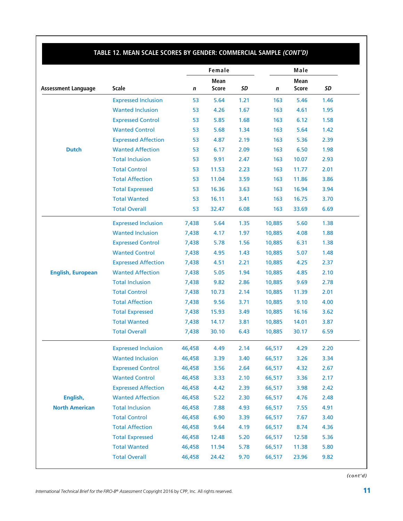|                            |                            |        | Female               |      |        | Male                 |      |
|----------------------------|----------------------------|--------|----------------------|------|--------|----------------------|------|
| <b>Assessment Language</b> | <b>Scale</b>               | n      | Mean<br><b>Score</b> | SD   | n      | Mean<br><b>Score</b> | SD   |
|                            | <b>Expressed Inclusion</b> | 53     | 5.64                 | 1.21 | 163    | 5.46                 | 1.46 |
|                            | <b>Wanted Inclusion</b>    | 53     | 4.26                 | 1.67 | 163    | 4.61                 | 1.95 |
|                            | <b>Expressed Control</b>   | 53     | 5.85                 | 1.68 | 163    | 6.12                 | 1.58 |
|                            | <b>Wanted Control</b>      | 53     | 5.68                 | 1.34 | 163    | 5.64                 | 1.42 |
|                            | <b>Expressed Affection</b> | 53     | 4.87                 | 2.19 | 163    | 5.36                 | 2.39 |
| <b>Dutch</b>               | <b>Wanted Affection</b>    | 53     | 6.17                 | 2.09 | 163    | 6.50                 | 1.98 |
|                            | <b>Total Inclusion</b>     | 53     | 9.91                 | 2.47 | 163    | 10.07                | 2.93 |
|                            | <b>Total Control</b>       | 53     | 11.53                | 2.23 | 163    | 11.77                | 2.01 |
|                            | <b>Total Affection</b>     | 53     | 11.04                | 3.59 | 163    | 11.86                | 3.86 |
|                            | <b>Total Expressed</b>     | 53     | 16.36                | 3.63 | 163    | 16.94                | 3.94 |
|                            | <b>Total Wanted</b>        | 53     | 16.11                | 3.41 | 163    | 16.75                | 3.70 |
|                            | <b>Total Overall</b>       | 53     | 32.47                | 6.08 | 163    | 33.69                | 6.69 |
|                            | <b>Expressed Inclusion</b> | 7,438  | 5.64                 | 1.35 | 10,885 | 5.60                 | 1.38 |
|                            | <b>Wanted Inclusion</b>    | 7,438  | 4.17                 | 1.97 | 10,885 | 4.08                 | 1.88 |
|                            | <b>Expressed Control</b>   | 7,438  | 5.78                 | 1.56 | 10,885 | 6.31                 | 1.38 |
|                            | <b>Wanted Control</b>      | 7,438  | 4.95                 | 1.43 | 10,885 | 5.07                 | 1.48 |
|                            | <b>Expressed Affection</b> | 7,438  | 4.51                 | 2.21 | 10,885 | 4.25                 | 2.37 |
| <b>English, European</b>   | <b>Wanted Affection</b>    | 7,438  | 5.05                 | 1.94 | 10,885 | 4.85                 | 2.10 |
|                            | <b>Total Inclusion</b>     | 7,438  | 9.82                 | 2.86 | 10,885 | 9.69                 | 2.78 |
|                            | <b>Total Control</b>       | 7,438  | 10.73                | 2.14 | 10,885 | 11.39                | 2.01 |
|                            | <b>Total Affection</b>     | 7,438  | 9.56                 | 3.71 | 10,885 | 9.10                 | 4.00 |
|                            | <b>Total Expressed</b>     | 7,438  | 15.93                | 3.49 | 10,885 | 16.16                | 3.62 |
|                            | <b>Total Wanted</b>        | 7,438  | 14.17                | 3.81 | 10,885 | 14.01                | 3.87 |
|                            | <b>Total Overall</b>       | 7,438  | 30.10                | 6.43 | 10,885 | 30.17                | 6.59 |
|                            | <b>Expressed Inclusion</b> | 46,458 | 4.49                 | 2.14 | 66,517 | 4.29                 | 2.20 |
|                            | <b>Wanted Inclusion</b>    | 46,458 | 3.39                 | 3.40 | 66,517 | 3.26                 | 3.34 |
|                            | <b>Expressed Control</b>   | 46,458 | 3.56                 | 2.64 | 66,517 | 4.32                 | 2.67 |
|                            | <b>Wanted Control</b>      | 46,458 | 3.33                 | 2.10 | 66,517 | 3.36                 | 2.17 |
|                            | <b>Expressed Affection</b> | 46,458 | 4.42                 | 2.39 | 66,517 | 3.98                 | 2.42 |
| English,                   | <b>Wanted Affection</b>    | 46,458 | 5.22                 | 2.30 | 66,517 | 4.76                 | 2.48 |
| <b>North American</b>      | <b>Total Inclusion</b>     | 46,458 | 7.88                 | 4.93 | 66,517 | 7.55                 | 4.91 |
|                            | <b>Total Control</b>       | 46,458 | 6.90                 | 3.39 | 66,517 | 7.67                 | 3.40 |
|                            | <b>Total Affection</b>     | 46,458 | 9.64                 | 4.19 | 66,517 | 8.74                 | 4.36 |
|                            | <b>Total Expressed</b>     | 46,458 | 12.48                | 5.20 | 66,517 | 12.58                | 5.36 |
|                            | <b>Total Wanted</b>        | 46,458 |                      | 5.78 | 66,517 | 11.38                | 5.80 |
|                            |                            |        | 11.94                |      |        |                      |      |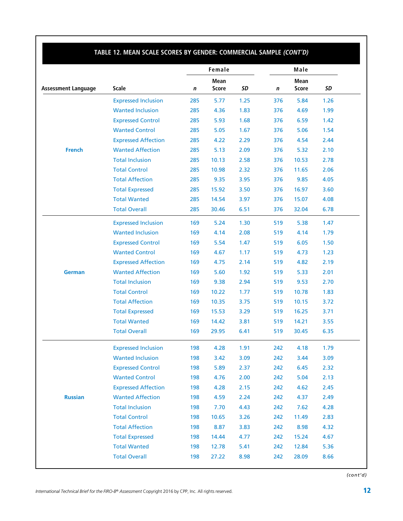|                            |                            |     | Female       |      |     | Male         |      |
|----------------------------|----------------------------|-----|--------------|------|-----|--------------|------|
|                            |                            |     | Mean         |      |     | Mean         |      |
| <b>Assessment Language</b> | <b>Scale</b>               | n   | <b>Score</b> | SD   | n   | <b>Score</b> | SD   |
|                            | <b>Expressed Inclusion</b> | 285 | 5.77         | 1.25 | 376 | 5.84         | 1.26 |
|                            | <b>Wanted Inclusion</b>    | 285 | 4.36         | 1.83 | 376 | 4.69         | 1.99 |
|                            | <b>Expressed Control</b>   | 285 | 5.93         | 1.68 | 376 | 6.59         | 1.42 |
|                            | <b>Wanted Control</b>      | 285 | 5.05         | 1.67 | 376 | 5.06         | 1.54 |
|                            | <b>Expressed Affection</b> | 285 | 4.22         | 2.29 | 376 | 4.54         | 2.44 |
| <b>French</b>              | <b>Wanted Affection</b>    | 285 | 5.13         | 2.09 | 376 | 5.32         | 2.10 |
|                            | <b>Total Inclusion</b>     | 285 | 10.13        | 2.58 | 376 | 10.53        | 2.78 |
|                            | <b>Total Control</b>       | 285 | 10.98        | 2.32 | 376 | 11.65        | 2.06 |
|                            | <b>Total Affection</b>     | 285 | 9.35         | 3.95 | 376 | 9.85         | 4.05 |
|                            | <b>Total Expressed</b>     | 285 | 15.92        | 3.50 | 376 | 16.97        | 3.60 |
|                            | <b>Total Wanted</b>        | 285 | 14.54        | 3.97 | 376 | 15.07        | 4.08 |
|                            | <b>Total Overall</b>       | 285 | 30.46        | 6.51 | 376 | 32.04        | 6.78 |
|                            | <b>Expressed Inclusion</b> | 169 | 5.24         | 1.30 | 519 | 5.38         | 1.47 |
|                            | <b>Wanted Inclusion</b>    | 169 | 4.14         | 2.08 | 519 | 4.14         | 1.79 |
|                            | <b>Expressed Control</b>   | 169 | 5.54         | 1.47 | 519 | 6.05         | 1.50 |
|                            | <b>Wanted Control</b>      | 169 | 4.67         | 1.17 | 519 | 4.73         | 1.23 |
|                            | <b>Expressed Affection</b> | 169 | 4.75         | 2.14 | 519 | 4.82         | 2.19 |
| <b>German</b>              | <b>Wanted Affection</b>    | 169 | 5.60         | 1.92 | 519 | 5.33         | 2.01 |
|                            | <b>Total Inclusion</b>     | 169 | 9.38         | 2.94 | 519 | 9.53         | 2.70 |
|                            | <b>Total Control</b>       | 169 | 10.22        | 1.77 | 519 | 10.78        | 1.83 |
|                            | <b>Total Affection</b>     | 169 | 10.35        | 3.75 | 519 | 10.15        | 3.72 |
|                            | <b>Total Expressed</b>     | 169 | 15.53        | 3.29 | 519 | 16.25        | 3.71 |
|                            | <b>Total Wanted</b>        | 169 | 14.42        | 3.81 | 519 | 14.21        | 3.55 |
|                            | <b>Total Overall</b>       | 169 | 29.95        | 6.41 | 519 | 30.45        | 6.35 |
|                            | <b>Expressed Inclusion</b> | 198 | 4.28         | 1.91 | 242 | 4.18         | 1.79 |
|                            | <b>Wanted Inclusion</b>    | 198 | 3.42         | 3.09 | 242 | 3.44         | 3.09 |
|                            | <b>Expressed Control</b>   | 198 | 5.89         | 2.37 | 242 | 6.45         | 2.32 |
|                            | <b>Wanted Control</b>      | 198 | 4.76         | 2.00 | 242 | 5.04         | 2.13 |
|                            | <b>Expressed Affection</b> | 198 | 4.28         | 2.15 | 242 | 4.62         | 2.45 |
| <b>Russian</b>             | <b>Wanted Affection</b>    | 198 | 4.59         | 2.24 | 242 | 4.37         | 2.49 |
|                            | <b>Total Inclusion</b>     | 198 | 7.70         | 4.43 | 242 | 7.62         | 4.28 |
|                            | <b>Total Control</b>       | 198 | 10.65        | 3.26 | 242 | 11.49        | 2.83 |
|                            | <b>Total Affection</b>     | 198 | 8.87         | 3.83 | 242 | 8.98         | 4.32 |
|                            | <b>Total Expressed</b>     | 198 | 14.44        | 4.77 | 242 | 15.24        | 4.67 |
|                            | <b>Total Wanted</b>        | 198 | 12.78        | 5.41 | 242 | 12.84        | 5.36 |
|                            | <b>Total Overall</b>       | 198 | 27.22        | 8.98 | 242 | 28.09        | 8.66 |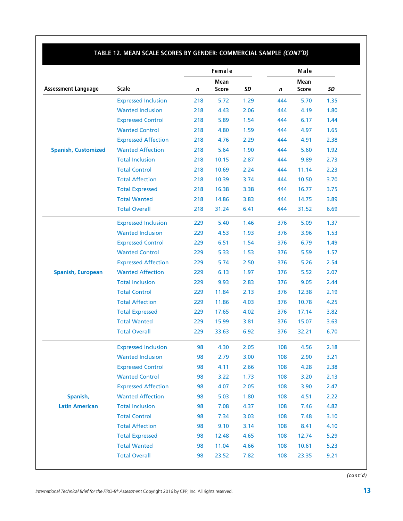|                            |                            |     | Female                      |      |     | Male                        |      |
|----------------------------|----------------------------|-----|-----------------------------|------|-----|-----------------------------|------|
| <b>Assessment Language</b> | <b>Scale</b>               | n   | <b>Mean</b><br><b>Score</b> | SD   | n   | <b>Mean</b><br><b>Score</b> | SD   |
|                            | <b>Expressed Inclusion</b> | 218 | 5.72                        | 1.29 | 444 | 5.70                        | 1.35 |
|                            | <b>Wanted Inclusion</b>    | 218 | 4.43                        | 2.06 | 444 | 4.19                        | 1.80 |
|                            | <b>Expressed Control</b>   | 218 | 5.89                        | 1.54 | 444 | 6.17                        | 1.44 |
|                            | <b>Wanted Control</b>      | 218 | 4.80                        | 1.59 | 444 | 4.97                        | 1.65 |
|                            | <b>Expressed Affection</b> | 218 | 4.76                        | 2.29 | 444 | 4.91                        | 2.38 |
| <b>Spanish, Customized</b> | <b>Wanted Affection</b>    | 218 | 5.64                        | 1.90 | 444 | 5.60                        | 1.92 |
|                            | <b>Total Inclusion</b>     | 218 | 10.15                       | 2.87 | 444 | 9.89                        | 2.73 |
|                            | <b>Total Control</b>       | 218 | 10.69                       | 2.24 | 444 | 11.14                       | 2.23 |
|                            | <b>Total Affection</b>     | 218 | 10.39                       | 3.74 | 444 | 10.50                       | 3.70 |
|                            | <b>Total Expressed</b>     | 218 | 16.38                       | 3.38 | 444 | 16.77                       | 3.75 |
|                            | <b>Total Wanted</b>        | 218 | 14.86                       | 3.83 | 444 | 14.75                       | 3.89 |
|                            | <b>Total Overall</b>       | 218 | 31.24                       | 6.41 | 444 | 31.52                       | 6.69 |
|                            | <b>Expressed Inclusion</b> | 229 | 5.40                        | 1.46 | 376 | 5.09                        | 1.37 |
|                            | <b>Wanted Inclusion</b>    | 229 | 4.53                        | 1.93 | 376 | 3.96                        | 1.53 |
|                            | <b>Expressed Control</b>   | 229 | 6.51                        | 1.54 | 376 | 6.79                        | 1.49 |
|                            | <b>Wanted Control</b>      | 229 | 5.33                        | 1.53 | 376 | 5.59                        | 1.57 |
|                            | <b>Expressed Affection</b> | 229 | 5.74                        | 2.50 | 376 | 5.26                        | 2.54 |
| <b>Spanish, European</b>   | <b>Wanted Affection</b>    | 229 | 6.13                        | 1.97 | 376 | 5.52                        | 2.07 |
|                            | <b>Total Inclusion</b>     | 229 | 9.93                        | 2.83 | 376 | 9.05                        | 2.44 |
|                            | <b>Total Control</b>       | 229 | 11.84                       | 2.13 | 376 | 12.38                       | 2.19 |
|                            | <b>Total Affection</b>     | 229 | 11.86                       | 4.03 | 376 | 10.78                       | 4.25 |
|                            | <b>Total Expressed</b>     | 229 | 17.65                       | 4.02 | 376 | 17.14                       | 3.82 |
|                            | <b>Total Wanted</b>        | 229 | 15.99                       | 3.81 | 376 | 15.07                       | 3.63 |
|                            | <b>Total Overall</b>       | 229 | 33.63                       | 6.92 | 376 | 32.21                       | 6.70 |
|                            | <b>Expressed Inclusion</b> | 98  | 4.30                        | 2.05 | 108 | 4.56                        | 2.18 |
|                            | <b>Wanted Inclusion</b>    | 98  | 2.79                        | 3.00 | 108 | 2.90                        | 3.21 |
|                            | <b>Expressed Control</b>   | 98  | 4.11                        | 2.66 | 108 | 4.28                        | 2.38 |
|                            | <b>Wanted Control</b>      | 98  | 3.22                        | 1.73 | 108 | 3.20                        | 2.13 |
|                            | <b>Expressed Affection</b> | 98  | 4.07                        | 2.05 | 108 | 3.90                        | 2.47 |
| Spanish,                   | <b>Wanted Affection</b>    | 98  | 5.03                        | 1.80 | 108 | 4.51                        | 2.22 |
| <b>Latin American</b>      | <b>Total Inclusion</b>     | 98  | 7.08                        | 4.37 | 108 | 7.46                        | 4.82 |
|                            | <b>Total Control</b>       | 98  | 7.34                        | 3.03 | 108 | 7.48                        | 3.10 |
|                            | <b>Total Affection</b>     | 98  | 9.10                        | 3.14 | 108 | 8.41                        | 4.10 |
|                            | <b>Total Expressed</b>     | 98  | 12.48                       | 4.65 | 108 | 12.74                       | 5.29 |
|                            | <b>Total Wanted</b>        | 98  | 11.04                       | 4.66 | 108 | 10.61                       | 5.23 |
|                            | <b>Total Overall</b>       | 98  | 23.52                       | 7.82 | 108 | 23.35                       | 9.21 |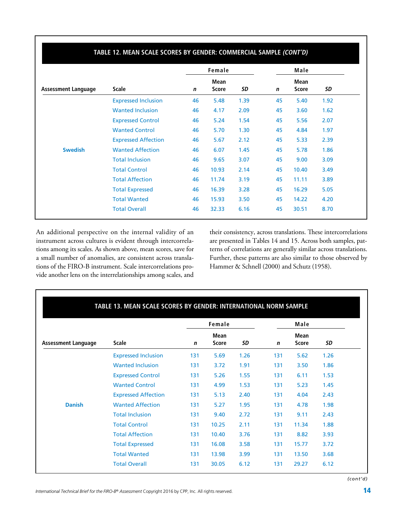|                            |                            |             | Female                      |      |             | Male                        |      |
|----------------------------|----------------------------|-------------|-----------------------------|------|-------------|-----------------------------|------|
| <b>Assessment Language</b> | <b>Scale</b>               | $\mathbf n$ | <b>Mean</b><br><b>Score</b> | SD   | $\mathbf n$ | <b>Mean</b><br><b>Score</b> | SD   |
|                            | <b>Expressed Inclusion</b> | 46          | 5.48                        | 1.39 | 45          | 5.40                        | 1.92 |
|                            | <b>Wanted Inclusion</b>    | 46          | 4.17                        | 2.09 | 45          | 3.60                        | 1.62 |
|                            | <b>Expressed Control</b>   | 46          | 5.24                        | 1.54 | 45          | 5.56                        | 2.07 |
|                            | <b>Wanted Control</b>      | 46          | 5.70                        | 1.30 | 45          | 4.84                        | 1.97 |
|                            | <b>Expressed Affection</b> | 46          | 5.67                        | 2.12 | 45          | 5.33                        | 2.39 |
| <b>Swedish</b>             | <b>Wanted Affection</b>    | 46          | 6.07                        | 1.45 | 45          | 5.78                        | 1.86 |
|                            | <b>Total Inclusion</b>     | 46          | 9.65                        | 3.07 | 45          | 9.00                        | 3.09 |
|                            | <b>Total Control</b>       | 46          | 10.93                       | 2.14 | 45          | 10.40                       | 3.49 |
|                            | <b>Total Affection</b>     | 46          | 11.74                       | 3.19 | 45          | 11.11                       | 3.89 |
|                            | <b>Total Expressed</b>     | 46          | 16.39                       | 3.28 | 45          | 16.29                       | 5.05 |
|                            | <b>Total Wanted</b>        | 46          | 15.93                       | 3.50 | 45          | 14.22                       | 4.20 |
|                            | <b>Total Overall</b>       | 46          | 32.33                       | 6.16 | 45          | 30.51                       | 8.70 |

An additional perspective on the internal validity of an instrument across cultures is evident through intercorrelations among its scales. As shown above, mean scores, save for a small number of anomalies, are consistent across translations of the FIRO-B instrument. Scale intercorrelations provide another lens on the interrelationships among scales, and

their consistency, across translations. These intercorrelations are presented in Tables 14 and 15. Across both samples, patterns of correlations are generally similar across translations. Further, these patterns are also similar to those observed by Hammer & Schnell (2000) and Schutz (1958).

|                            |                            |     | Female               |      |     | Male                 |      |
|----------------------------|----------------------------|-----|----------------------|------|-----|----------------------|------|
| <b>Assessment Language</b> | <b>Scale</b>               | n   | Mean<br><b>Score</b> | SD   | n   | Mean<br><b>Score</b> | SD   |
|                            | <b>Expressed Inclusion</b> | 131 | 5.69                 | 1.26 | 131 | 5.62                 | 1.26 |
|                            | <b>Wanted Inclusion</b>    | 131 | 3.72                 | 1.91 | 131 | 3.50                 | 1.86 |
|                            | <b>Expressed Control</b>   | 131 | 5.26                 | 1.55 | 131 | 6.11                 | 1.53 |
|                            | <b>Wanted Control</b>      | 131 | 4.99                 | 1.53 | 131 | 5.23                 | 1.45 |
|                            | <b>Expressed Affection</b> | 131 | 5.13                 | 2.40 | 131 | 4.04                 | 2.43 |
| <b>Danish</b>              | <b>Wanted Affection</b>    | 131 | 5.27                 | 1.95 | 131 | 4.78                 | 1.98 |
|                            | <b>Total Inclusion</b>     | 131 | 9.40                 | 2.72 | 131 | 9.11                 | 2.43 |
|                            | <b>Total Control</b>       | 131 | 10.25                | 2.11 | 131 | 11.34                | 1.88 |
|                            | <b>Total Affection</b>     | 131 | 10.40                | 3.76 | 131 | 8.82                 | 3.93 |
|                            | <b>Total Expressed</b>     | 131 | 16.08                | 3.58 | 131 | 15.77                | 3.72 |
|                            | <b>Total Wanted</b>        | 131 | 13.98                | 3.99 | 131 | 13.50                | 3.68 |
|                            | <b>Total Overall</b>       | 131 | 30.05                | 6.12 | 131 | 29.27                | 6.12 |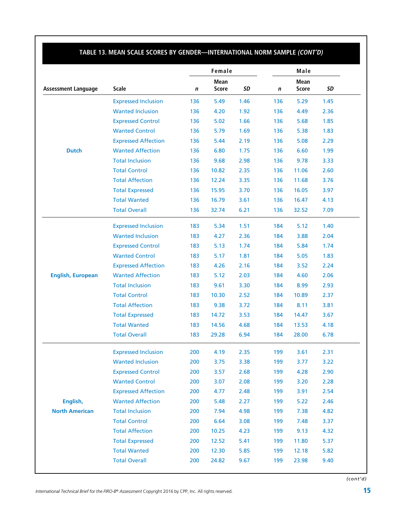|                            |                            |     | Female       |      |     | Male         |      |
|----------------------------|----------------------------|-----|--------------|------|-----|--------------|------|
|                            |                            |     | <b>Mean</b>  |      |     | <b>Mean</b>  |      |
| <b>Assessment Language</b> | Scale                      | n   | <b>Score</b> | SD   | n   | <b>Score</b> | SD   |
|                            | <b>Expressed Inclusion</b> | 136 | 5.49         | 1.46 | 136 | 5.29         | 1.45 |
|                            | <b>Wanted Inclusion</b>    | 136 | 4.20         | 1.92 | 136 | 4.49         | 2.36 |
|                            | <b>Expressed Control</b>   | 136 | 5.02         | 1.66 | 136 | 5.68         | 1.85 |
|                            | <b>Wanted Control</b>      | 136 | 5.79         | 1.69 | 136 | 5.38         | 1.83 |
|                            | <b>Expressed Affection</b> | 136 | 5.44         | 2.19 | 136 | 5.08         | 2.29 |
| <b>Dutch</b>               | <b>Wanted Affection</b>    | 136 | 6.80         | 1.75 | 136 | 6.60         | 1.99 |
|                            | <b>Total Inclusion</b>     | 136 | 9.68         | 2.98 | 136 | 9.78         | 3.33 |
|                            | <b>Total Control</b>       | 136 | 10.82        | 2.35 | 136 | 11.06        | 2.60 |
|                            | <b>Total Affection</b>     | 136 | 12.24        | 3.35 | 136 | 11.68        | 3.76 |
|                            | <b>Total Expressed</b>     | 136 | 15.95        | 3.70 | 136 | 16.05        | 3.97 |
|                            | <b>Total Wanted</b>        | 136 | 16.79        | 3.61 | 136 | 16.47        | 4.13 |
|                            | <b>Total Overall</b>       | 136 | 32.74        | 6.21 | 136 | 32.52        | 7.09 |
|                            | <b>Expressed Inclusion</b> | 183 | 5.34         | 1.51 | 184 | 5.12         | 1.40 |
|                            | <b>Wanted Inclusion</b>    | 183 | 4.27         | 2.36 | 184 | 3.88         | 2.04 |
|                            | <b>Expressed Control</b>   | 183 | 5.13         | 1.74 | 184 | 5.84         | 1.74 |
|                            | <b>Wanted Control</b>      | 183 | 5.17         | 1.81 | 184 | 5.05         | 1.83 |
|                            | <b>Expressed Affection</b> | 183 | 4.26         | 2.16 | 184 | 3.52         | 2.24 |
| <b>English, European</b>   | <b>Wanted Affection</b>    | 183 | 5.12         | 2.03 | 184 | 4.60         | 2.06 |
|                            | <b>Total Inclusion</b>     | 183 | 9.61         | 3.30 | 184 | 8.99         | 2.93 |
|                            | <b>Total Control</b>       | 183 | 10.30        | 2.52 | 184 | 10.89        | 2.37 |
|                            | <b>Total Affection</b>     | 183 | 9.38         | 3.72 | 184 | 8.11         | 3.81 |
|                            | <b>Total Expressed</b>     | 183 | 14.72        | 3.53 | 184 | 14.47        | 3.67 |
|                            | <b>Total Wanted</b>        | 183 | 14.56        | 4.68 | 184 | 13.53        | 4.18 |
|                            | <b>Total Overall</b>       | 183 | 29.28        | 6.94 | 184 | 28.00        | 6.78 |
|                            | <b>Expressed Inclusion</b> | 200 | 4.19         | 2.35 | 199 | 3.61         | 2.31 |
|                            | <b>Wanted Inclusion</b>    | 200 | 3.75         | 3.38 | 199 | 3.77         | 3.22 |
|                            | <b>Expressed Control</b>   | 200 | 3.57         | 2.68 | 199 | 4.28         | 2.90 |
|                            | <b>Wanted Control</b>      | 200 | 3.07         | 2.08 | 199 | 3.20         | 2.28 |
|                            | <b>Expressed Affection</b> | 200 | 4.77         | 2.48 | 199 | 3.91         | 2.54 |
| English,                   | <b>Wanted Affection</b>    | 200 | 5.48         | 2.27 | 199 | 5.22         | 2.46 |
| <b>North American</b>      | <b>Total Inclusion</b>     | 200 | 7.94         | 4.98 | 199 | 7.38         | 4.82 |
|                            | <b>Total Control</b>       | 200 | 6.64         | 3.08 | 199 | 7.48         | 3.37 |
|                            | <b>Total Affection</b>     | 200 | 10.25        | 4.23 | 199 | 9.13         | 4.32 |
|                            | <b>Total Expressed</b>     | 200 | 12.52        | 5.41 | 199 | 11.80        | 5.37 |
|                            | <b>Total Wanted</b>        | 200 | 12.30        | 5.85 | 199 | 12.18        | 5.82 |
|                            | <b>Total Overall</b>       | 200 | 24.82        | 9.67 | 199 | 23.98        | 9.40 |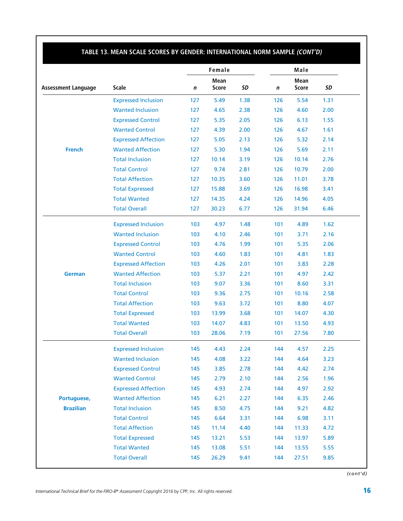|                            |                            |     | Female       |      |     | Male        |      |
|----------------------------|----------------------------|-----|--------------|------|-----|-------------|------|
|                            |                            |     | Mean         |      |     | <b>Mean</b> |      |
| <b>Assessment Language</b> | <b>Scale</b>               | n   | <b>Score</b> | SD   | n   | Score       | SD   |
|                            | <b>Expressed Inclusion</b> | 127 | 5.49         | 1.38 | 126 | 5.54        | 1.31 |
|                            | <b>Wanted Inclusion</b>    | 127 | 4.65         | 2.38 | 126 | 4.60        | 2.00 |
|                            | <b>Expressed Control</b>   | 127 | 5.35         | 2.05 | 126 | 6.13        | 1.55 |
|                            | <b>Wanted Control</b>      | 127 | 4.39         | 2.00 | 126 | 4.67        | 1.61 |
|                            | <b>Expressed Affection</b> | 127 | 5.05         | 2.13 | 126 | 5.32        | 2.14 |
| <b>French</b>              | <b>Wanted Affection</b>    | 127 | 5.30         | 1.94 | 126 | 5.69        | 2.11 |
|                            | <b>Total Inclusion</b>     | 127 | 10.14        | 3.19 | 126 | 10.14       | 2.76 |
|                            | <b>Total Control</b>       | 127 | 9.74         | 2.81 | 126 | 10.79       | 2.00 |
|                            | <b>Total Affection</b>     | 127 | 10.35        | 3.60 | 126 | 11.01       | 3.78 |
|                            | <b>Total Expressed</b>     | 127 | 15.88        | 3.69 | 126 | 16.98       | 3.41 |
|                            | <b>Total Wanted</b>        | 127 | 14.35        | 4.24 | 126 | 14.96       | 4.05 |
|                            | <b>Total Overall</b>       | 127 | 30.23        | 6.77 | 126 | 31.94       | 6.46 |
|                            | <b>Expressed Inclusion</b> | 103 | 4.97         | 1.48 | 101 | 4.89        | 1.62 |
|                            | <b>Wanted Inclusion</b>    | 103 | 4.10         | 2.46 | 101 | 3.71        | 2.16 |
|                            | <b>Expressed Control</b>   | 103 | 4.76         | 1.99 | 101 | 5.35        | 2.06 |
|                            | <b>Wanted Control</b>      | 103 | 4.60         | 1.83 | 101 | 4.81        | 1.83 |
|                            | <b>Expressed Affection</b> | 103 | 4.26         | 2.01 | 101 | 3.83        | 2.28 |
| <b>German</b>              | <b>Wanted Affection</b>    | 103 | 5.37         | 2.21 | 101 | 4.97        | 2.42 |
|                            | <b>Total Inclusion</b>     | 103 | 9.07         | 3.36 | 101 | 8.60        | 3.31 |
|                            | <b>Total Control</b>       | 103 | 9.36         | 2.75 | 101 | 10.16       | 2.58 |
|                            | <b>Total Affection</b>     | 103 | 9.63         | 3.72 | 101 | 8.80        | 4.07 |
|                            | <b>Total Expressed</b>     | 103 | 13.99        | 3.68 | 101 | 14.07       | 4.30 |
|                            | <b>Total Wanted</b>        | 103 | 14.07        | 4.83 | 101 | 13.50       | 4.93 |
|                            | <b>Total Overall</b>       | 103 | 28.06        | 7.19 | 101 | 27.56       | 7.80 |
|                            | <b>Expressed Inclusion</b> | 145 | 4.43         | 2.24 | 144 | 4.57        | 2.25 |
|                            | <b>Wanted Inclusion</b>    | 145 | 4.08         | 3.22 | 144 | 4.64        | 3.23 |
|                            | <b>Expressed Control</b>   | 145 | 3.85         | 2.78 | 144 | 4.42        | 2.74 |
|                            | <b>Wanted Control</b>      | 145 | 2.79         | 2.10 | 144 | 2.56        | 1.96 |
|                            | <b>Expressed Affection</b> | 145 | 4.93         | 2.74 | 144 | 4.97        | 2.92 |
| Portuguese,                | <b>Wanted Affection</b>    | 145 | 6.21         | 2.27 | 144 | 6.35        | 2.46 |
| <b>Brazilian</b>           | <b>Total Inclusion</b>     | 145 | 8.50         | 4.75 | 144 | 9.21        | 4.82 |
|                            | <b>Total Control</b>       | 145 | 6.64         | 3.31 | 144 | 6.98        | 3.11 |
|                            | <b>Total Affection</b>     | 145 | 11.14        | 4.40 | 144 | 11.33       | 4.72 |
|                            | <b>Total Expressed</b>     | 145 | 13.21        | 5.53 | 144 | 13.97       | 5.89 |
|                            | <b>Total Wanted</b>        | 145 | 13.08        | 5.51 | 144 | 13.55       | 5.55 |
|                            | <b>Total Overall</b>       | 145 | 26.29        | 9.41 | 144 | 27.51       | 9.85 |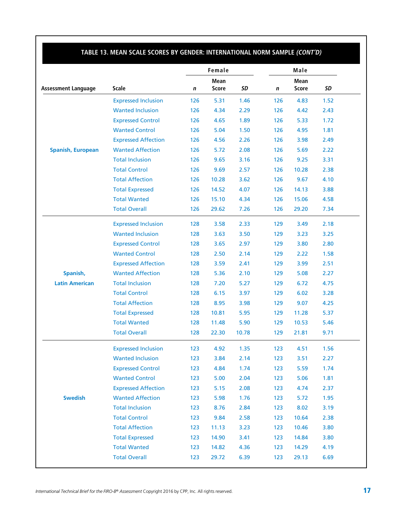|                            |                            |     | Female |       |     | Male  |      |
|----------------------------|----------------------------|-----|--------|-------|-----|-------|------|
|                            |                            |     | Mean   |       |     | Mean  |      |
| <b>Assessment Language</b> | <b>Scale</b>               | n   | Score  | SD    | n   | Score | SD   |
|                            | <b>Expressed Inclusion</b> | 126 | 5.31   | 1.46  | 126 | 4.83  | 1.52 |
|                            | <b>Wanted Inclusion</b>    | 126 | 4.34   | 2.29  | 126 | 4.42  | 2.43 |
|                            | <b>Expressed Control</b>   | 126 | 4.65   | 1.89  | 126 | 5.33  | 1.72 |
|                            | <b>Wanted Control</b>      | 126 | 5.04   | 1.50  | 126 | 4.95  | 1.81 |
|                            | <b>Expressed Affection</b> | 126 | 4.56   | 2.26  | 126 | 3.98  | 2.49 |
| <b>Spanish, European</b>   | <b>Wanted Affection</b>    | 126 | 5.72   | 2.08  | 126 | 5.69  | 2.22 |
|                            | <b>Total Inclusion</b>     | 126 | 9.65   | 3.16  | 126 | 9.25  | 3.31 |
|                            | <b>Total Control</b>       | 126 | 9.69   | 2.57  | 126 | 10.28 | 2.38 |
|                            | <b>Total Affection</b>     | 126 | 10.28  | 3.62  | 126 | 9.67  | 4.10 |
|                            | <b>Total Expressed</b>     | 126 | 14.52  | 4.07  | 126 | 14.13 | 3.88 |
|                            | <b>Total Wanted</b>        | 126 | 15.10  | 4.34  | 126 | 15.06 | 4.58 |
|                            | <b>Total Overall</b>       | 126 | 29.62  | 7.26  | 126 | 29.20 | 7.34 |
|                            | <b>Expressed Inclusion</b> | 128 | 3.58   | 2.33  | 129 | 3.49  | 2.18 |
|                            | <b>Wanted Inclusion</b>    | 128 | 3.63   | 3.50  | 129 | 3.23  | 3.25 |
|                            | <b>Expressed Control</b>   | 128 | 3.65   | 2.97  | 129 | 3.80  | 2.80 |
|                            | <b>Wanted Control</b>      | 128 | 2.50   | 2.14  | 129 | 2.22  | 1.58 |
|                            | <b>Expressed Affection</b> | 128 | 3.59   | 2.41  | 129 | 3.99  | 2.51 |
| Spanish,                   | <b>Wanted Affection</b>    | 128 | 5.36   | 2.10  | 129 | 5.08  | 2.27 |
| <b>Latin American</b>      | <b>Total Inclusion</b>     | 128 | 7.20   | 5.27  | 129 | 6.72  | 4.75 |
|                            | <b>Total Control</b>       | 128 | 6.15   | 3.97  | 129 | 6.02  | 3.28 |
|                            | <b>Total Affection</b>     | 128 | 8.95   | 3.98  | 129 | 9.07  | 4.25 |
|                            | <b>Total Expressed</b>     | 128 | 10.81  | 5.95  | 129 | 11.28 | 5.37 |
|                            | <b>Total Wanted</b>        | 128 | 11.48  | 5.90  | 129 | 10.53 | 5.46 |
|                            | <b>Total Overall</b>       | 128 | 22.30  | 10.78 | 129 | 21.81 | 9.71 |
|                            | <b>Expressed Inclusion</b> | 123 | 4.92   | 1.35  | 123 | 4.51  | 1.56 |
|                            | <b>Wanted Inclusion</b>    | 123 | 3.84   | 2.14  | 123 | 3.51  | 2.27 |
|                            | <b>Expressed Control</b>   | 123 | 4.84   | 1.74  | 123 | 5.59  | 1.74 |
|                            | <b>Wanted Control</b>      | 123 | 5.00   | 2.04  | 123 | 5.06  | 1.81 |
|                            | <b>Expressed Affection</b> | 123 | 5.15   | 2.08  | 123 | 4.74  | 2.37 |
| <b>Swedish</b>             | <b>Wanted Affection</b>    | 123 | 5.98   | 1.76  | 123 | 5.72  | 1.95 |
|                            | <b>Total Inclusion</b>     | 123 | 8.76   | 2.84  | 123 | 8.02  | 3.19 |
|                            | <b>Total Control</b>       | 123 | 9.84   | 2.58  | 123 | 10.64 | 2.38 |
|                            | <b>Total Affection</b>     | 123 | 11.13  | 3.23  | 123 | 10.46 | 3.80 |
|                            | <b>Total Expressed</b>     | 123 | 14.90  | 3.41  | 123 | 14.84 | 3.80 |
|                            | <b>Total Wanted</b>        | 123 | 14.82  | 4.36  | 123 | 14.29 | 4.19 |
|                            |                            |     |        |       |     |       |      |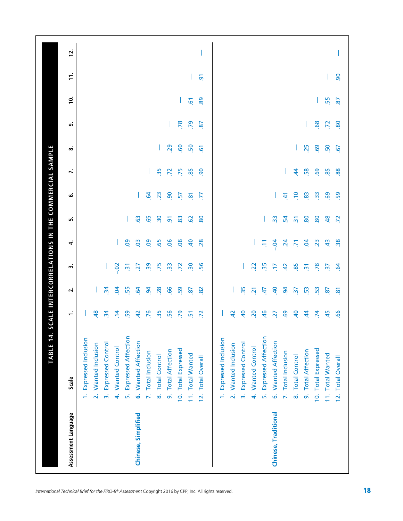| Assessment Language  | Scale                                       | ÷              | $\mathbf{r}$   | m                        | 4              | ιń              | ق                   | J.              | ∞              | ெ              | $\dot{p}$      | ÷,             | 12. |
|----------------------|---------------------------------------------|----------------|----------------|--------------------------|----------------|-----------------|---------------------|-----------------|----------------|----------------|----------------|----------------|-----|
|                      | 1. Expressed Inclusion                      |                |                |                          |                |                 |                     |                 |                |                |                |                |     |
|                      | 2. Wanted Inclusion                         | $\frac{8}{2}$  |                |                          |                |                 |                     |                 |                |                |                |                |     |
|                      | <b>Expressed Control</b><br>$\vec{m}$       | $\frac{1}{2}$  | $\overline{3}$ |                          |                |                 |                     |                 |                |                |                |                |     |
|                      | <b>Wanted Control</b><br>4                  | $\ddot{a}$     | S <sub>3</sub> | $-0.02$                  |                |                 |                     |                 |                |                |                |                |     |
|                      | <b>Expressed Affection</b><br>ъ,            | 59             | 55             | <u>w</u>                 | 80             |                 |                     |                 |                |                |                |                |     |
| Chinese, Simplified  | 6. Wanted Affection                         | $\overline{a}$ | $\mathbf{g}$   | 27                       | $\overline{0}$ | 63              |                     |                 |                |                |                |                |     |
|                      | 7. Total Inclusion                          | 76             | $\mathbf{g}$   | 39                       | 8              | 65              | $\overline{q}$      |                 |                |                |                |                |     |
|                      | 8. Total Control                            | 35             | 28             | .75                      | 65             | $\overline{30}$ | 23                  | 35              |                |                |                |                |     |
|                      | 9. Total Affection                          | 56             | 66             | $\frac{3}{2}$            | $\overline{0}$ | $\overline{5}$  | $\overline{90}$     | $\overline{z}$  | 29             |                |                |                |     |
|                      | 10. Total Expressed                         | 55             | 59             | .72                      | 08             | 83              | $\overline{5}$      | .75             | .60            |                |                |                |     |
|                      | 11. Total Wanted                            | $\overline{5}$ | 87             | $\overline{\mathbf{30}}$ | $\overline{a}$ | $\overline{6}$  | $\overline{\infty}$ | 85              | 50             | P. 79          | $\overline{6}$ |                |     |
|                      | <b>Total Overall</b><br>$\frac{1}{2}$       | $\overline{z}$ | 8              | 56                       | 28             | 80              | F.                  | $\overline{90}$ | $\overline{6}$ | $\overline{8}$ | 89             | $\overline{5}$ |     |
|                      | Expressed Inclusion<br>é                    |                |                |                          |                |                 |                     |                 |                |                |                |                |     |
|                      | Wanted Inclusion<br>$\overline{\mathbf{a}}$ | $\overline{a}$ |                |                          |                |                 |                     |                 |                |                |                |                |     |
|                      | <b>Expressed Control</b><br>$\vec{m}$       | $\overline{a}$ | 35             |                          |                |                 |                     |                 |                |                |                |                |     |
|                      | <b>Wanted Control</b><br>$\vec{r}$          | 20             | $\overline{2}$ | $\overline{2}$           |                |                 |                     |                 |                |                |                |                |     |
|                      | <b>Expressed Affection</b><br><u>ió</u>     | $\frac{4}{6}$  | $\ddot{t}$     | 35                       | Ξ              |                 |                     |                 |                |                |                |                |     |
| Chinese, Traditional | 6. Wanted Affection                         | 27             | $\overline{a}$ | E                        | $-0.4$         | $\overline{3}$  |                     |                 |                |                |                |                |     |
|                      | 7. Total Inclusion                          | 69             | $\mathbf{g}$   | $\overline{a}$           | $\ddot{a}$     | 54              | £                   |                 |                |                |                |                |     |
|                      | <b>Total Control</b><br>$\infty$            | $\overline{a}$ | $\frac{1}{2}$  | 85                       | 5              | $\overline{2}$  | $\ddot{=}$          | $\dot{z}$       |                |                |                |                |     |
|                      | 9. Total Affection                          | \$             | 53             | $\overline{m}$           | S.             | 80              | 83                  | 58              | 25             |                |                |                |     |
|                      | 10. Total Expressed                         | $\overline{7}$ | 53             | 78                       | 23             | 80              | $\frac{3}{2}$       | 69              | 69             | .68            |                |                |     |
|                      | 11. Total Wanted                            | 45             | $\overline{8}$ | $\overline{37}$          | $\ddot{a}$     | 48              | 69                  | 85              | 50             | $\overline{z}$ | 55             |                |     |
|                      | 12. Total Overall                           |                |                |                          |                |                 |                     |                 |                |                |                |                |     |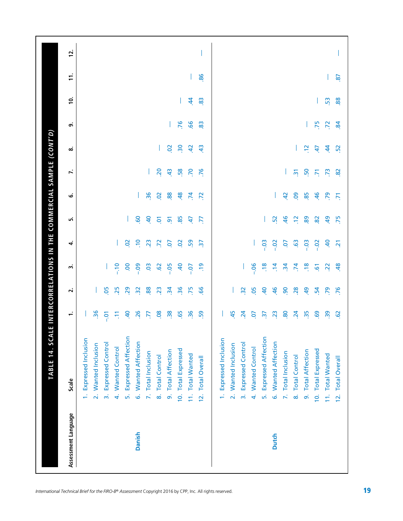| Assessment Language | Scale                                 | ÷                        | $\overline{\mathbf{N}}$ | m                   | 4                     | ۱n              | ق               | J.             | ∞              | ெ              | <u>ʻ</u>  | $\mathbf{r}$ | 12. |
|---------------------|---------------------------------------|--------------------------|-------------------------|---------------------|-----------------------|-----------------|-----------------|----------------|----------------|----------------|-----------|--------------|-----|
|                     | 1. Expressed Inclusion                |                          |                         |                     |                       |                 |                 |                |                |                |           |              |     |
|                     | 2. Wanted Inclusion                   | $\overline{36}$          |                         |                     |                       |                 |                 |                |                |                |           |              |     |
|                     | 3. Expressed Control                  | $-0.7$                   | 80                      |                     |                       |                 |                 |                |                |                |           |              |     |
|                     | 4. Wanted Control                     | Ξ                        | 25                      | $-10$               |                       |                 |                 |                |                |                |           |              |     |
|                     | 5. Expressed Affection                | $40^{\circ}$             | 29                      | S.                  | $\overline{5}$        |                 |                 |                |                |                |           |              |     |
| Danish              | 6. Wanted Affection                   | .26                      | $\frac{3}{2}$           | $-0.09$             | $\Xi$                 | 60              |                 |                |                |                |           |              |     |
|                     | 7. Total Inclusion                    | F.                       | 88                      | C <sub>3</sub>      | 23                    | $\overline{a}$  | 36              |                |                |                |           |              |     |
|                     | 8. Total Control                      | 08                       | $\overline{23}$         | $\ddot{\mathrm{S}}$ | .72                   | ē               | $\overline{50}$ | 20             |                |                |           |              |     |
|                     | 9. Total Affection                    | 38                       | $\frac{1}{2}$           | $-0.05$             | S.                    | $\overline{5}$  | 88              | $\frac{4}{3}$  | $\overline{0}$ |                |           |              |     |
|                     | 10. Total Expressed                   | 65                       | 36                      | GF.                 | $\overline{0}$        | 85              | 48              | 58             | $\frac{30}{2}$ | .76            |           |              |     |
|                     | 11. Total Wanted                      | $\frac{36}{5}$           | .75                     | $-0.07$             | 59                    | $\ddot{+}$      | $\overline{7}$  | .70            | $\overline{a}$ | 99.            | $\dot{a}$ |              |     |
|                     | <b>Total Overall</b><br>$\frac{2}{3}$ | 59                       | 99                      | $\frac{1}{2}$       | $\tilde{\varepsilon}$ | F,              | $\overline{z}$  | 76             | $\ddot{a}$     | 83             | 83        | 86.          |     |
|                     | 1. Expressed Inclusion                |                          |                         |                     |                       |                 |                 |                |                |                |           |              |     |
|                     | 2. Wanted Inclusion                   | 45                       |                         |                     |                       |                 |                 |                |                |                |           |              |     |
|                     | 3. Expressed Control                  | $\overline{24}$          | $\frac{32}{2}$          |                     |                       |                 |                 |                |                |                |           |              |     |
|                     | 4. Wanted Control                     | S.                       | .05                     | $-0.06$             |                       |                 |                 |                |                |                |           |              |     |
|                     | 5. Expressed Affection                | $\overline{\mathcal{S}}$ | $\overline{a}$          | $\frac{8}{18}$      | $-0.3$                |                 |                 |                |                |                |           |              |     |
| <b>Dutch</b>        | 6. Wanted Affection                   | 23                       | 46                      | $\overline{4}$      | $-0.2$                | 52              |                 |                |                |                |           |              |     |
|                     | 7. Total Inclusion                    | 80                       | $\overline{90}$         | $\overline{34}$     | S.                    | 46              | $\overline{a}$  |                |                |                |           |              |     |
|                     | 8. Total Control                      | $\overline{24}$          | 28                      | $\overline{74}$     | $\ddot{6}$            | $\frac{2}{2}$   | 09              | $\overline{2}$ |                |                |           |              |     |
|                     | 9. Total Affection                    | 35                       | $\overline{a}$          | $\frac{8}{10}$      | $-0.03$               | 89              | 85              | 50             | $\frac{2}{2}$  |                |           |              |     |
|                     | 10. Total Expressed                   | 69                       | 54                      | $\overline{6}$      | $-0.02$               | $\overline{82}$ | $-46$           | $\overline{5}$ | 47             | .75            |           |              |     |
|                     | 11. Total Wanted                      | $\overline{39}$          | 79                      | $\overline{2}$      | $\overline{a}$        | $\overline{a}$  | 55              | $\overline{r}$ | 44             | $\overline{z}$ | 53        |              |     |
|                     | 12. Total Overall                     | $\overline{62}$          | .76                     |                     | $\overline{2}$        |                 | $\overline{2}$  |                |                |                |           |              |     |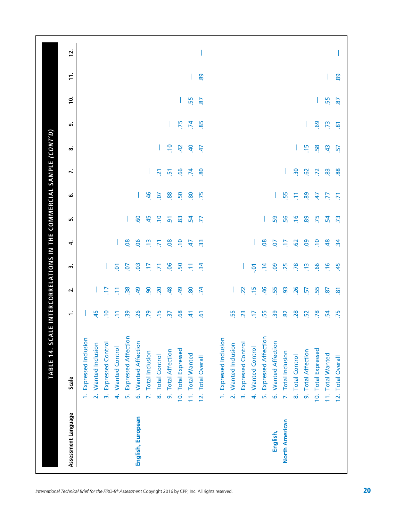| Assessment Language   | Scale                                 | ÷               | $\mathbf{v}$    | m                    | 4              | ۱ŋ             | ق              | J.              | $\infty$       | ை   | <u>ِّ ح</u>    | $\mathbf{r}$ | 12. |
|-----------------------|---------------------------------------|-----------------|-----------------|----------------------|----------------|----------------|----------------|-----------------|----------------|-----|----------------|--------------|-----|
|                       | 1. Expressed Inclusion                |                 |                 |                      |                |                |                |                 |                |     |                |              |     |
|                       | 2. Wanted Inclusion                   | 45              |                 |                      |                |                |                |                 |                |     |                |              |     |
|                       | <b>Expressed Control</b><br>$\vec{m}$ | $\ddot{ }$      | E               |                      |                |                |                |                 |                |     |                |              |     |
|                       | 4. Wanted Control                     | Ξ               | Ξ               | δ                    |                |                |                |                 |                |     |                |              |     |
|                       | 5. Expressed Affection                | $\frac{5}{2}$   | $\frac{8}{3}$   | 5                    | 80             |                |                |                 |                |     |                |              |     |
| English, European     | 6. Wanted Affection                   | 26              | $\overline{a}$  | <b>SO</b>            | $\overline{0}$ | <b>GO</b>      |                |                 |                |     |                |              |     |
|                       | 7. Total Inclusion                    | 79              | $\overline{90}$ | F                    | $\frac{1}{2}$  | 45             | $\frac{6}{5}$  |                 |                |     |                |              |     |
|                       | 8. Total Control                      | $\frac{15}{2}$  | 20              | $\overline{5}$       | 5              | $\Xi$          | Οņ             | $\overline{21}$ |                |     |                |              |     |
|                       | 9. Total Affection                    | $\overline{37}$ | $\frac{8}{3}$   | <b>90</b>            | 80             | $\overline{9}$ | 88             | $\overline{5}$  | $\ddot{ }$     |     |                |              |     |
|                       | 10. Total Expressed                   | 68              | $\overline{5}$  | S <sub>0</sub>       | $\frac{1}{2}$  | 83             | S <sub>0</sub> | 99.             | $\overline{a}$ |     |                |              |     |
|                       | 11. Total Wanted                      | 41              | 80              | Ξ                    | 47             | 24             | 80             | $\overline{7}$  | $\overline{a}$ | .75 | 55             |              |     |
|                       | <b>Total Overall</b><br>$\frac{2}{3}$ | 5               | $\mathcal{F}$   | $\frac{1}{2}$        | က္က            | E              | 75             | 80              | 47             | 85  | $\overline{8}$ | 89           |     |
|                       | 1. Expressed Inclusion                |                 |                 |                      |                |                |                |                 |                |     |                |              |     |
|                       | 2. Wanted Inclusion                   | 55              |                 |                      |                |                |                |                 |                |     |                |              |     |
|                       | <b>Expressed Control</b><br>$\vec{m}$ | 23              | 22              |                      |                |                |                |                 |                |     |                |              |     |
|                       | 4. Wanted Control                     | F               | $\frac{15}{2}$  | $\tilde{\mathbf{c}}$ |                |                |                |                 |                |     |                |              |     |
|                       | <b>Expressed Affection</b><br>ьń      | 55              | $\frac{46}{5}$  | 14                   | $\overline{0}$ |                |                |                 |                |     |                |              |     |
| English,              | 6. Wanted Affection                   | $\overline{39}$ | 55              | <b>eo</b>            | δ.             | 59             |                |                 |                |     |                |              |     |
| <b>North American</b> | 7. Total Inclusion                    | 82              | $\overline{93}$ | 25                   | F              | 56             | 55             |                 |                |     |                |              |     |
|                       | 8. Total Control                      | 28              | 26              | .78                  | $\overline{6}$ | $\frac{6}{1}$  | Ξ              | $\frac{30}{2}$  |                |     |                |              |     |
|                       | 9. Total Affection                    | 52              | 57              | $\frac{1}{2}$        | $\overline{5}$ | 89             | 89             | 62              | $\frac{15}{2}$ |     |                |              |     |
|                       | 10. Total Expressed                   | 78              | 55              | 99                   | $\ddot{ }$     | 75             | 47             | $\overline{z}$  | 58             | 69  |                |              |     |
|                       | 11. Total Wanted                      | $\mathbf{54}$   | $\tilde{g}$     | $\frac{9}{2}$        | 48             | $\mathbf{54}$  | F.             | 83              | $\ddot{a}$     | .73 | 55             |              |     |
|                       | 12. Total Overall                     | .75             |                 |                      |                |                |                |                 |                |     |                |              |     |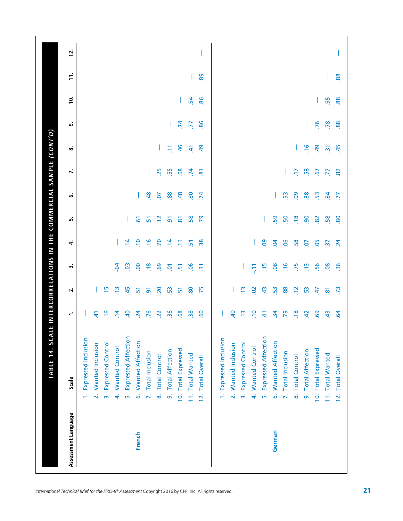| Assessment Language | Scale                                   | ÷               | $\overline{\mathbf{v}}$ | m              | 4                        | ۱n                  | ڧ               | r.             | ∞                         | ெ               | <u>ʻ</u>      | $\pm$        | 12. |
|---------------------|-----------------------------------------|-----------------|-------------------------|----------------|--------------------------|---------------------|-----------------|----------------|---------------------------|-----------------|---------------|--------------|-----|
|                     | 1. Expressed Inclusion                  |                 |                         |                |                          |                     |                 |                |                           |                 |               |              |     |
|                     | 2. Wanted Inclusion                     | 41              |                         |                |                          |                     |                 |                |                           |                 |               |              |     |
|                     | <b>Expressed Control</b><br>$\vec{m}$   | $\frac{6}{1}$   | $\frac{5}{2}$           |                |                          |                     |                 |                |                           |                 |               |              |     |
|                     | 4. Wanted Control                       | $\ddot{a}$      | $\frac{1}{2}$           | $\frac{1}{2}$  |                          |                     |                 |                |                           |                 |               |              |     |
|                     | <b>Expressed Affection</b><br>ъ,        | $\overline{a}$  | 45                      | $\ddot{\circ}$ | $\dot{a}$                |                     |                 |                |                           |                 |               |              |     |
| French              | 6. Wanted Affection                     | $\overline{24}$ | 5                       | 8              | $\overline{10}$          | 61                  |                 |                |                           |                 |               |              |     |
|                     | 7. Total Inclusion                      | 76              | $\overline{5}$          | $\frac{8}{18}$ | $\frac{6}{2}$            | 5                   | $\frac{8}{3}$   |                |                           |                 |               |              |     |
|                     | 8. Total Control                        | $\overline{2}$  | $\overline{\mathsf{S}}$ | 69             | P.                       | $\Xi$               | Οņ              | 25             |                           |                 |               |              |     |
|                     | 9. Total Affection                      | 36              | 53                      | $\overline{Q}$ | $\overline{4}$           | $\overline{9}$      | 88              | 55             | Ξ                         |                 |               |              |     |
|                     | 10. Total Expressed                     | 68              | $\overline{5}$          | $\frac{1}{2}$  | $\frac{1}{2}$            | $\overline{\infty}$ | 48              | 89.            | 46                        | $\overline{74}$ |               |              |     |
|                     | 11. Total Wanted                        | 38              | 80                      | <u>90</u>      | $\overline{5}$           | 58                  | 80              | $\overline{7}$ | $\pm$                     | $\overline{5}$  | $\mathbf{54}$ | $\mathbf{I}$ |     |
|                     | <b>Total Overall</b><br>$\frac{1}{2}$   | <b>GO</b>       | .75                     | $\overline{m}$ | $\frac{8}{28}$           | $\overline{5}$      | $\overline{5}$  | $\overline{8}$ | $\overline{a}$            | 86              | 86            | 89           |     |
|                     | 1. Expressed Inclusion                  |                 |                         |                |                          |                     |                 |                |                           |                 |               |              |     |
|                     | 2. Wanted Inclusion                     | $\overline{a}$  |                         |                |                          |                     |                 |                |                           |                 |               |              |     |
|                     | <b>Expressed Control</b><br>$\vec{m}$   | $\frac{1}{2}$   | e                       |                |                          |                     |                 |                |                           |                 |               |              |     |
|                     | 4. Wanted Control                       | $\Xi$           | $\overline{5}$          | 두              |                          |                     |                 |                |                           |                 |               |              |     |
|                     | <b>Expressed Affection</b><br>$\vec{b}$ | स्              | $\frac{4}{3}$           | $\frac{15}{1}$ | <b>eo</b>                |                     |                 |                |                           |                 |               |              |     |
| German              | 6. Wanted Affection                     | $\overline{3}$  | 53                      | $\overline{0}$ | $\overline{5}$           | 59                  |                 |                |                           |                 |               |              |     |
|                     | 7. Total Inclusion                      | 79              | 88                      | $\frac{6}{1}$  | 06                       | 50                  | 53              |                |                           |                 |               |              |     |
|                     | 8. Total Control                        | $\frac{8}{10}$  | $\frac{2}{2}$           | .75            | 58                       | $\frac{8}{1}$       | <b>eo</b>       | ζP,            |                           |                 |               |              |     |
|                     | 9. Total Affection                      | $\overline{a}$  | 53                      | $\frac{1}{2}$  | S <sub>0</sub>           | $\overline{90}$     | 88              | 58             | $\frac{9}{2}$             |                 |               |              |     |
|                     | 10. Total Expressed                     | 69              | 47                      | 56             | 05                       | $\overline{82}$     | 53              | $\overline{6}$ | $\overline{a}$            |                 |               |              |     |
|                     | 11. Total Wanted                        | $\frac{4}{3}$   | $\overline{\mathbf{8}}$ | 80.            | $\overline{\mathcal{E}}$ | 58                  | $\overline{84}$ | F.             | $\overline{\mathfrak{m}}$ | .76             | 55            |              |     |
|                     | 12. Total Overall                       | $\ddot{5}$      | $\tilde{\mathcal{L}}$   |                |                          |                     |                 |                |                           |                 |               |              |     |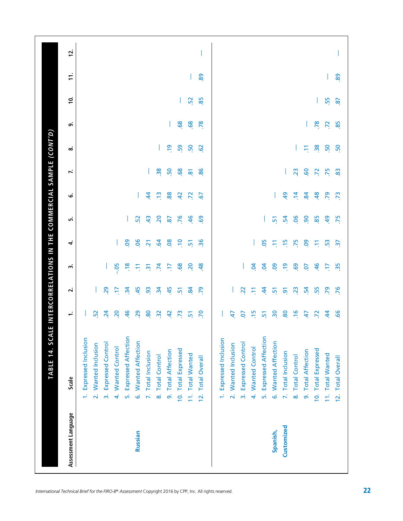| Assessment Language | Scale                                    | ÷               | $\overline{\mathbf{v}}$ | m               | 4               | ۱n              | ڧ               | r.                  | ∞               | െ   | <u>َب</u> | $\ddot{ }$ | 12. |
|---------------------|------------------------------------------|-----------------|-------------------------|-----------------|-----------------|-----------------|-----------------|---------------------|-----------------|-----|-----------|------------|-----|
|                     | 1. Expressed Inclusion                   |                 |                         |                 |                 |                 |                 |                     |                 |     |           |            |     |
|                     | 2. Wanted Inclusion                      | 52              |                         |                 |                 |                 |                 |                     |                 |     |           |            |     |
|                     | <b>Expressed Control</b><br>$\vec{m}$    | $\overline{24}$ | 29                      |                 |                 |                 |                 |                     |                 |     |           |            |     |
|                     | 4. Wanted Control                        | 20              | E                       | .05             |                 |                 |                 |                     |                 |     |           |            |     |
|                     | 5. Expressed Affection                   | 46              | $\mathbf{r}$            | $\frac{8}{10}$  | 80              |                 |                 |                     |                 |     |           |            |     |
| Russian             | 6. Wanted Affection                      | 29              | 45                      | Ξ               | 06              | 52              |                 |                     |                 |     |           |            |     |
|                     | 7. Total Inclusion                       | 80              | $\overline{9}$          | $\overline{2}$  | $\overline{2}$  | $\frac{4}{3}$   | $\dot{a}$       | L                   |                 |     |           |            |     |
|                     | 8. Total Control                         | $\frac{3}{2}$   | $\ddot{3}$              | .74             | 64              | 20              | $\frac{2}{3}$   | 38                  |                 |     |           |            |     |
|                     | 9. Total Affection                       | $\overline{a}$  | 45                      | F.              | 80              | 87              | 88              | 50                  | $\overline{5}$  |     |           |            |     |
|                     | 10. Total Expressed                      | .73             | $\overline{2}$          | 68              | $\epsilon$      | .76             | $\overline{a}$  | 68                  | 59              | .68 |           |            |     |
|                     | 11. Total Wanted                         | $\overline{5}$  | 84                      | 20              | $\overline{5}$  | 46              | $\overline{z}$  | $\overline{\infty}$ | 50              | 68  | 52        |            |     |
|                     | <b>Total Overall</b><br>$\overline{2}$ . | .70             | .79                     | 48              | $\overline{36}$ | <b>GO</b>       | $\overline{6}$  | 86                  | $\overline{62}$ | .78 | 85        | 89         |     |
|                     | 1. Expressed Inclusion                   |                 |                         |                 |                 |                 |                 |                     |                 |     |           |            |     |
|                     | 2. Wanted Inclusion                      | 47              |                         |                 |                 |                 |                 |                     |                 |     |           |            |     |
|                     | 3. Expressed Control                     | 5o              | 22                      |                 |                 |                 |                 |                     |                 |     |           |            |     |
|                     | 4. Wanted Control                        | $\frac{15}{2}$  | Ξ                       | $\overline{5}$  |                 |                 |                 |                     |                 |     |           |            |     |
|                     | Expressed Affection<br>ъ,                | $\overline{5}$  | 4                       | $\overline{5}$  | <b>95</b>       |                 |                 |                     |                 |     |           |            |     |
| Spanish,            | 6. Wanted Affection                      | $\overline{30}$ | $\frac{1}{2}$           | <b>eo</b>       | Ξ               | 51              |                 |                     |                 |     |           |            |     |
| Customized          | 7. Total Inclusion                       | 80              | $\overline{9}$          | $\frac{9}{2}$   | $\frac{5}{1}$   | 54              | $\overline{5}$  |                     |                 |     |           |            |     |
|                     | 8. Total Control                         | $\frac{6}{1}$   | 23                      | 69              | .75             | .<br>90.        | $\frac{4}{7}$   | 23                  |                 |     |           |            |     |
|                     | 9. Total Affection                       | 47              | 54                      | S.              | <b>eo</b>       | $\overline{90}$ | $\overline{8}$  | <b>GO</b>           | Ξ               |     |           |            |     |
|                     | 10. Total Expressed                      | $\overline{z}$  | 55                      | 46              | Ξ               | 85              | 48              | $\overline{z}$      | 38              | .78 |           |            |     |
|                     | 11. Total Wanted                         | $\overline{4}$  | 79                      | Ε               | 53              | $\overline{a}$  | 55              | .75                 | 50              | 72  | 55        |            |     |
|                     | 12. Total Overall                        | 99              | .76                     | $\overline{35}$ |                 |                 | $\overline{73}$ |                     |                 |     |           |            |     |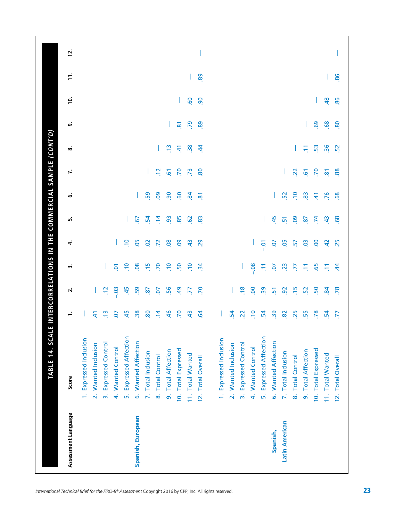| Assessment Language   | Score                                 | $\overline{\phantom{0}}$ | $\mathbf{r}$    | w               | 4              | ۱ŋ              | .<br>ت              | $\ddot{ }$          | ∞              | ெ                       | <u>ʻ</u>       | $\ddot{ }$ | 12. |
|-----------------------|---------------------------------------|--------------------------|-----------------|-----------------|----------------|-----------------|---------------------|---------------------|----------------|-------------------------|----------------|------------|-----|
|                       | 1. Expressed Inclusion                |                          |                 |                 |                |                 |                     |                     |                |                         |                |            |     |
|                       | 2. Wanted Inclusion                   | 41                       |                 |                 |                |                 |                     |                     |                |                         |                |            |     |
|                       | <b>Expressed Control</b><br>$\vec{m}$ | $\frac{1}{2}$            | $\Xi$           |                 |                |                 |                     |                     |                |                         |                |            |     |
|                       | 4. Wanted Control                     | 5ō                       | 0 <sup>3</sup>  | $\overline{Q}$  |                |                 |                     |                     |                |                         |                |            |     |
|                       | 5. Expressed Affection                | 45                       | 45              | $\Xi$           | $\Xi$          |                 |                     |                     |                |                         |                |            |     |
| Spanish, European     | 6. Wanted Affection                   | $\frac{8}{30}$           | 59              | $\overline{0}$  | 05             | $\overline{67}$ |                     |                     |                |                         |                |            |     |
|                       | 7. Total Inclusion                    | 80                       | $\overline{8}$  | $\frac{5}{1}$   | $\overline{0}$ | $\mathbf{5}$    | 59                  |                     |                |                         |                |            |     |
|                       | 8. Total Control                      | $\overline{1}$           | S.              | 70              | .72            | $\ddot{a}$      | O <sub>9</sub>      | $\frac{2}{7}$       |                |                         |                |            |     |
|                       | 9. Total Affection                    | 46                       | 56              | $\frac{1}{2}$   | 08             | 3               | $\overline{90}$     | $\overline{6}$      | e,             |                         |                |            |     |
|                       | 10. Total Expressed                   | 70                       | 49              | 50              | <b>eo</b>      | 85              | 60                  | 70                  | £,             | $\overline{\mathbf{8}}$ |                |            |     |
|                       | 11. Total Wanted                      | $\frac{4}{3}$            | $\overline{7}$  | $\frac{1}{2}$   | $\frac{4}{3}$  | $\overline{6}$  | $\overline{8}$      | .73                 | $\frac{38}{2}$ | .79                     | GO.            |            |     |
|                       | 12. Total Overall                     | $\overline{q}$           | .70             | $\ddot{a}$      | 29             | 83              | $\overline{\infty}$ | 80                  | र्च            | 89                      | 90             | 89         |     |
|                       | 1. Expressed Inclusion                |                          |                 |                 |                |                 |                     |                     |                |                         |                |            |     |
|                       | 2. Wanted Inclusion                   | $\mathbf{54}$            |                 |                 |                |                 |                     |                     |                |                         |                |            |     |
|                       | 3. Expressed Control                  | 22                       | $\frac{8}{1}$   |                 |                |                 |                     |                     |                |                         |                |            |     |
|                       | 4. Wanted Control                     | $\ddot{ }$               | 8 <sub>o</sub>  | $-0.08$         |                |                 |                     |                     |                |                         |                |            |     |
|                       | 5. Expressed Affection                | $\mathbf{54}$            | $\overline{39}$ | Ξ               | $-0$           |                 |                     |                     |                |                         |                |            |     |
| Spanish,              | 6. Wanted Affection                   | $\overline{39}$          | 51              | S.              | S.             | 45              |                     |                     |                |                         |                |            |     |
| <b>Latin American</b> | 7. Total Inclusion                    | 82                       | $\overline{9}$  | $\overline{23}$ | <b>95</b>      | 5               | 52                  |                     |                |                         |                |            |     |
|                       | 8. Total Control                      | 25                       | $\frac{15}{2}$  | F.              | 5              | <b>eo</b>       | $\approx$           | $\overline{2}$      |                |                         |                |            |     |
|                       | 9. Total Affection                    | 55                       | 52              | Ξ               | CO.            | $\overline{8}$  | 83                  | $\overline{6}$      | Ξ              |                         |                |            |     |
|                       | 10. Total Expressed                   | 78                       | 50              | 65              | S.             | $\overline{7}$  | $\tilde{t}$         | .70                 | 53             | 69                      |                |            |     |
|                       | 11. Total Wanted                      | 54                       | $\mathbf{g}$    | Ξ               | $\overline{a}$ | $\frac{4}{3}$   | .76                 | $\overline{\infty}$ | 36             | 68                      | $\overline{a}$ |            |     |
|                       | 12. Total Overall                     | F.                       |                 |                 |                |                 |                     |                     |                |                         |                |            |     |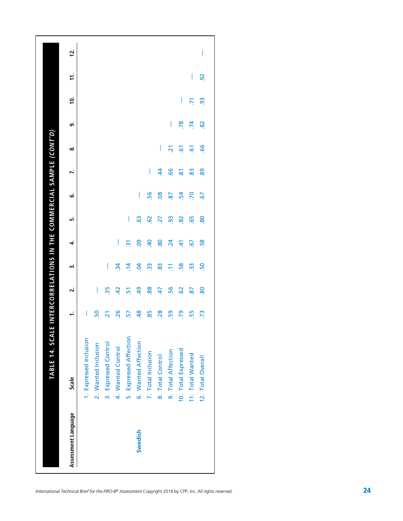| Assessment Language | Scale                      |                       | N              | m                        | 4              | ιń                   | نی             | r.                   | ∞                    | ெ              | <u>io</u>      | t.             | <b>isl</b> |
|---------------------|----------------------------|-----------------------|----------------|--------------------------|----------------|----------------------|----------------|----------------------|----------------------|----------------|----------------|----------------|------------|
|                     | 1. Expressed Inclusion     |                       |                |                          |                |                      |                |                      |                      |                |                |                |            |
|                     | 2. Wanted Inclusion        | 50                    | $\mathsf{I}$   |                          |                |                      |                |                      |                      |                |                |                |            |
|                     | 3. Expressed Control       | $\overline{21}$       | $\frac{5}{25}$ | $\overline{\phantom{a}}$ |                |                      |                |                      |                      |                |                |                |            |
|                     | 4. Wanted Control          | 26                    | $\overline{a}$ | $\ddot{a}$               | $\mathbf{I}$   |                      |                |                      |                      |                |                |                |            |
|                     | 5. Expressed Affection     | 57                    | $\overline{5}$ | $\overline{4}$           | $\overline{m}$ | I                    |                |                      |                      |                |                |                |            |
| Swedish             | 6. Wanted Affection        | $\frac{48}{5}$        | $\overline{a}$ | $\overline{a}$           | 8o             | $\ddot{\mathcal{S}}$ | I              |                      |                      |                |                |                |            |
|                     | 7. Total Inclusion         | 85                    | 88.            | $\ddot{3}$               | 40             | <b>G</b>             | 56             | $\mathsf{l}$         |                      |                |                |                |            |
|                     | <b>Total Control</b><br>ထဲ | 28                    | 47             | 83                       | 80             | 27                   | 80.            | \$                   | I                    |                |                |                |            |
|                     | 9. Total Affection         | 59                    | 56             | Ξ                        | $\overline{a}$ | 3                    | 2              | 99.                  | $\tilde{\mathbf{z}}$ | I              |                |                |            |
|                     | 10. Total Expressed        | .79                   | <b>G</b>       | 58                       | $\dot{a}$      | 82                   | $\mathbf{54}$  | $\mathbf{\tilde{s}}$ | $\tilde{e}$          | .78            | $\mathsf{I}$   |                |            |
|                     | 11. Total Wanted           | 55                    | 2              | ဣ                        | <b>G7</b>      | 65                   | <b>PC</b>      | 83                   | 5                    | $\overline{5}$ | $\overline{5}$ | I              |            |
|                     | 12. Total Overall          | $\tilde{\mathcal{L}}$ | 80             | SO <sub>1</sub>          | 58             | 80                   | $\overline{6}$ | 89                   | 99                   | 82             | 3              | $\overline{9}$ | I          |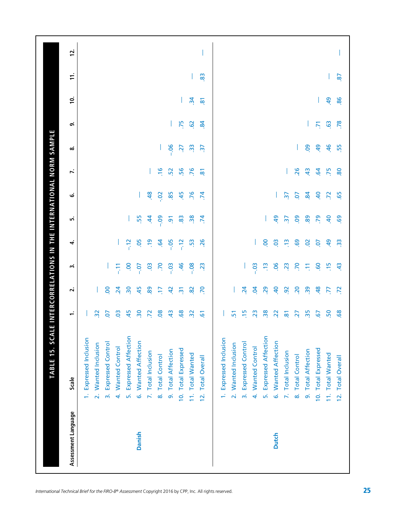| Assessment Language | Scale                                 | $\div$              | $\overline{\mathbf{v}}$   | m               | 4              | ۱n              | ق               | ŕ.                  | ∞                     | ெ                   | <u>ّء</u>           | $\mathbf{r}$ | 12. |
|---------------------|---------------------------------------|---------------------|---------------------------|-----------------|----------------|-----------------|-----------------|---------------------|-----------------------|---------------------|---------------------|--------------|-----|
|                     | 1. Expressed Inclusion                |                     |                           |                 |                |                 |                 |                     |                       |                     |                     |              |     |
|                     | 2. Wanted Inclusion                   | $\frac{3}{2}$       |                           |                 |                |                 |                 |                     |                       |                     |                     |              |     |
|                     | Expressed Control<br>$\vec{m}$        | 5                   | S                         |                 |                |                 |                 |                     |                       |                     |                     |              |     |
|                     | <b>Wanted Control</b><br>4            | $\overline{0}$      | $\overline{24}$           | 두               |                |                 |                 |                     |                       |                     |                     |              |     |
|                     | <b>Expressed Affection</b><br>ъń      | 45                  | $\overline{30}$           | S               | $-12$          |                 |                 |                     |                       |                     |                     |              |     |
| Danish              | 6. Wanted Affection                   | $\overline{30}$     | 45                        | $-0.7$          | 5O             | 55              |                 |                     |                       |                     |                     |              |     |
|                     | 7. Total Inclusion                    | $\overline{z}$      | 89                        | C <sub>3</sub>  | $\ddot{ }$     | $\dot{a}$       | 48              |                     |                       |                     |                     |              |     |
|                     | 8. Total Control                      | 80                  | Ε                         | P.              | çs             | $-0.09$         | $-0.2$          | $\frac{9}{7}$       |                       |                     |                     |              |     |
|                     | 9. Total Affection                    | $\frac{4}{3}$       | $\overline{a}$            | $-0.03$         | $-0.5$         | $\overline{9}$  | 85              | 52                  | $-0.06$               |                     |                     |              |     |
|                     | 10. Total Expressed                   | 68                  | $\overline{\mathfrak{m}}$ | 46              | $\frac{2}{1}$  | 83              | 45              | 56                  | 27                    | .75                 | L                   |              |     |
|                     | 11. Total Wanted                      | $\frac{3}{2}$       | 82                        | $-0.08$         | 53             | $\frac{8}{2}$   | .76             | .76                 | $\frac{3}{2}$         | $\overline{6}$      | $\ddot{a}$          |              |     |
|                     | <b>Total Overall</b><br>$\frac{1}{2}$ | $\overline{6}$      | P.                        | $\overline{23}$ | .26            | $\overline{74}$ | $\overline{74}$ | $\overline{\infty}$ | $\tilde{\varepsilon}$ | $\mathbf{g}$        | $\overline{\infty}$ | 83           |     |
|                     | 1. Expressed Inclusion                |                     |                           |                 |                |                 |                 |                     |                       |                     |                     |              |     |
|                     | 2. Wanted Inclusion                   | 51                  |                           |                 |                |                 |                 |                     |                       |                     |                     |              |     |
|                     | <b>Expressed Control</b><br>$\vec{m}$ | $\frac{15}{2}$      | $\overline{a}$            |                 |                |                 |                 |                     |                       |                     |                     |              |     |
|                     | 4. Wanted Control                     | $\overline{2}$      | S.                        | $-03$           |                |                 |                 |                     |                       |                     |                     |              |     |
|                     | <b>Expressed Affection</b><br>ъń      | $\frac{8}{20}$      | 29                        | e,              | 8              |                 |                 |                     |                       |                     |                     |              |     |
| <b>Dutch</b>        | 6. Wanted Affection                   | $\overline{2}$      | $\overline{a}$            | <b>90.</b>      | $\overline{0}$ | $\overline{a}$  |                 |                     |                       |                     |                     |              |     |
|                     | 7. Total Inclusion                    | $\overline{\infty}$ | $\overline{9}$            | $\ddot{c}$      | $\frac{1}{2}$  | $\overline{37}$ | $\overline{37}$ |                     |                       |                     |                     |              |     |
|                     | 8. Total Control                      | 27                  | $\overline{5}$            | .70             | 69             | 80              | Οņ              | 26                  |                       |                     |                     |              |     |
|                     | 9. Total Affection                    | $\frac{5}{25}$      | $\frac{5}{2}$             | Ξ               | $\mathsf{S}$   | 89              | $\mathbf{g}$    | $\ddot{a}$          | <b>eg</b>             |                     |                     |              |     |
|                     | 10. Total Expressed                   | <u>ra</u>           | 48                        | <b>GO</b>       | ρÓ             | .79             | $\overline{a}$  | $\overline{a}$      | $\overline{a}$        | $\overline{\gamma}$ |                     |              |     |
|                     | 11. Total Wanted                      | 50                  | ГŢ                        | $\frac{5}{1}$   | $\overline{a}$ | $\overline{a}$  | $\overline{z}$  | .75                 | 46                    | $\overline{63}$     | $\overline{a}$      |              |     |
|                     | 12. Total Overall                     | 68                  | $\overline{z}$            | $\ddot{a}$      | $\frac{3}{2}$  | 69              | 65              | 80                  | 55                    |                     |                     |              |     |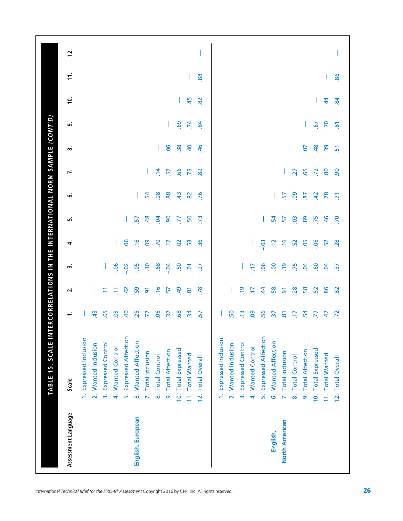| Assessment Language   | Scale                                    | ÷                     | $\overline{\mathbf{v}}$ | m               | 4              | மி               | نی              | J.             | ∞              | ெ              | <u>َب</u> | $\ddot{ }$ | 12. |
|-----------------------|------------------------------------------|-----------------------|-------------------------|-----------------|----------------|------------------|-----------------|----------------|----------------|----------------|-----------|------------|-----|
|                       | 1. Expressed Inclusion                   |                       |                         |                 |                |                  |                 |                |                |                |           |            |     |
|                       | 2. Wanted Inclusion                      | $\frac{4}{3}$         |                         |                 |                |                  |                 |                |                |                |           |            |     |
|                       | <b>Expressed Control</b><br>$\vec{m}$    | <b>.05</b>            | Ξ                       |                 |                |                  |                 |                |                |                |           |            |     |
|                       | <b>Wanted Control</b><br>$\vec{r}$       | $\ddot{0}$            | Ξ                       | $-0.06$         |                |                  |                 |                |                |                |           |            |     |
|                       | <b>Expressed Affection</b><br>ъ,         | $\overline{a}$        | $\overline{5}$          | $-0.2$          | 06             |                  |                 |                |                |                |           |            |     |
| English, European     | 6. Wanted Affection                      | 25                    | 59                      | $-0.5$          | $\frac{6}{1}$  | 57               |                 |                |                |                |           |            |     |
|                       | 7. Total Inclusion                       | 77                    | $\overline{9}$          | ۹.              | eo.            | 48               | $\overline{54}$ |                |                |                |           |            |     |
|                       | 8. Total Control                         | $\overline{5}$        | $\frac{6}{1}$           | 68              | $\overline{2}$ | $\overline{a}$   | .08             | $\ddot{a}$     |                |                |           |            |     |
|                       | 9. Total Affection                       | $\overline{37}$       | 57                      | $-0.7$          | $\frac{2}{2}$  | $\overline{90}$  | 88              | 57             | 90.            | T.             |           |            |     |
|                       | 10. Total Expressed                      | 68                    | $\overline{a}$          | 50              | $\overline{O}$ | ZZ.              | $\frac{4}{3}$   | 99             | $\frac{38}{2}$ |                |           |            |     |
|                       | 11. Total Wanted                         | $\frac{1}{2}$         | $\overline{\infty}$     | $\overline{Q}$  | 53             | 50               | $\overline{82}$ | .73            | $\overline{a}$ | $69$ $74$      | 45        |            |     |
|                       | <b>Total Overall</b><br>$\overline{2}$ . | 57                    | .78                     | 27              | $\frac{36}{5}$ | $\overline{.73}$ | .76             | $\infty$       | 46             | $\overline{8}$ | 82        | 88         |     |
|                       | 1. Expressed Inclusion                   |                       |                         |                 |                |                  |                 |                |                |                |           |            |     |
|                       | 2. Wanted Inclusion                      | 50                    |                         |                 |                |                  |                 |                |                |                |           |            |     |
|                       | 3. Expressed Control                     | $\frac{1}{2}$         | e,                      |                 |                |                  |                 |                |                |                |           |            |     |
|                       | 4. Wanted Control                        | 80                    | E                       | $-17$           |                |                  |                 |                |                |                |           |            |     |
|                       | 5. Expressed Affection                   | 56                    | $\overline{4}$          | <b>90</b>       | $-03$          |                  |                 |                |                |                |           |            |     |
| English,              | 6. Wanted Affection                      | $\tilde{\varepsilon}$ | 58                      | OO.             | S.             | 54               |                 |                |                |                |           |            |     |
| <b>North American</b> | 7. Total Inclusion                       | $\overline{8}$        | $\overline{9}$          | $\frac{9}{7}$   | $\frac{9}{7}$  | 57               | 57              |                |                |                |           |            |     |
|                       | 8. Total Control                         | F                     | 28                      | .75             | 52             | $\overline{0}$   | <b>OO</b>       | 27             |                |                |           |            |     |
|                       | 9. Total Affection                       | 24                    | 58                      | S.              | -05            | 89               | $\overline{8}$  | 65             | S.             |                |           |            |     |
|                       | 10. Total Expressed                      | 77                    | 52                      | <b>GO</b>       | 90.            | .75              | $\ddot{a}$      | $\overline{z}$ | 48             | 57             |           |            |     |
|                       | 11. Total Wanted                         | 47                    | 86                      | S.              | $-52$          | $-46$            | $\overline{78}$ | .80            | $\ddot{3}$     | P.             | $\dot{z}$ |            |     |
|                       | 12. Total Overall                        | $\overline{z}$        | $\infty$                | $\overline{37}$ | 28             |                  | $\overline{5}$  |                |                |                |           |            |     |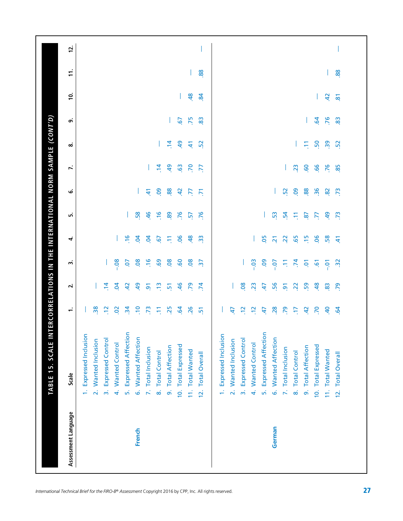| Assessment Language | Scale                                              | ÷                | $\overline{\mathbf{N}}$ | w               | 4              | ம்             | نی              | $\ddot{ }$       | ∞              | ெ               | Ξ.                      | $\pm$ |  |
|---------------------|----------------------------------------------------|------------------|-------------------------|-----------------|----------------|----------------|-----------------|------------------|----------------|-----------------|-------------------------|-------|--|
|                     | 1. Expressed Inclusion                             |                  |                         |                 |                |                |                 |                  |                |                 |                         |       |  |
|                     | 2. Wanted Inclusion                                | 38               |                         |                 |                |                |                 |                  |                |                 |                         |       |  |
|                     | <b>Expressed Control</b><br>$\vec{m}$              | $\ddot{5}$       | $\ddot{a}$              |                 |                |                |                 |                  |                |                 |                         |       |  |
|                     | <b>Wanted Control</b><br>$\overline{4}$            | $\overline{5}$   | $\overline{5}$          | $-0.08$         |                |                |                 |                  |                |                 |                         |       |  |
|                     | <b>Expressed Affection</b><br>ъ,                   | $\ddot{3}$       | £                       | S.              | $\frac{9}{7}$  |                |                 |                  |                |                 |                         |       |  |
| French              | 6. Wanted Affection                                | $\ddot{ }$       | $\overline{a}$          | $\overline{0}$  | S.             | 58             |                 |                  |                |                 |                         |       |  |
|                     | 7. Total Inclusion                                 | $\overline{.73}$ | $\overline{9}$          | $\frac{9}{1}$   | S.             | 46             | £               |                  |                |                 |                         |       |  |
|                     | 8. Total Control                                   | Ξ                | $\frac{1}{2}$           | 69.             | 5              | $\frac{9}{1}$  | <b>eo</b>       | $\ddot{a}$       |                |                 |                         |       |  |
|                     | <b>Total Affection</b><br>ெ                        | 25               | $\overline{5}$          | .08             | Ξ              | 89             | 88.             | 49               | $\overline{4}$ |                 |                         |       |  |
|                     | 10. Total Expressed                                | $\overline{5}$   | 46                      | <b>GO</b>       | <b>90</b>      | .76            | $\ddot{a}$      | $\ddot{6}$       | $\overline{a}$ | $\overline{.6}$ | L                       |       |  |
|                     | 11. Total Wanted                                   | .26              | .79                     | 08              | 48             | $\overline{5}$ | E               | $\overline{.70}$ | $\tilde{A}$    | .75             | $\frac{48}{5}$          |       |  |
|                     | <b>Total Overall</b><br>$\frac{2}{3}$              | $\overline{2}$   | $\overline{5}$          | $\overline{37}$ | $\frac{3}{2}$  | .76            | $\overline{5}$  | F.               | 52             | 83              | $\ddot{a}$              | 88.   |  |
|                     | <b>Expressed Inclusion</b><br>ë                    |                  |                         |                 |                |                |                 |                  |                |                 |                         |       |  |
|                     | <b>Wanted Inclusion</b><br>$\overline{\mathbf{v}}$ | 47               |                         |                 |                |                |                 |                  |                |                 |                         |       |  |
|                     | <b>Expressed Control</b><br>$\vec{m}$              | $\Xi$            | 80                      |                 |                |                |                 |                  |                |                 |                         |       |  |
|                     | 4. Wanted Control                                  | $\Xi$            | $\overline{23}$         | $-0.03$         |                |                |                 |                  |                |                 |                         |       |  |
|                     | <b>Expressed Affection</b><br>$\vec{a}$            | £,               | $\ddot{t}$              | <b>eo</b>       | <b>90</b>      |                |                 |                  |                |                 |                         |       |  |
| German              | <b>Wanted Affection</b><br>ق                       | .28              | .56                     | $-0.07$         | $\overline{2}$ | 53             |                 |                  |                |                 |                         |       |  |
|                     | 7. Total Inclusion                                 | .79              | $\overline{9}$          | Ξ.              | $\overline{2}$ | $\mathbf{r}$   | 52              |                  |                |                 |                         |       |  |
|                     | <b>Total Control</b><br>$\dot{\infty}$             | F.               | $\ddot{S}$              | $\ddot{z}$      | 65             | Ξ              | <b>eo</b>       | 23               |                |                 |                         |       |  |
|                     | <b>Total Affection</b><br>o.                       | 42               | 59                      | ē.              | $\frac{5}{1}$  | $\overline{8}$ | 88              | 60               | Ξ              |                 |                         |       |  |
|                     | 10. Total Expressed                                | 70               | 48                      | $\tilde{e}$     | 90.            | $\overline{5}$ | $\overline{36}$ | 66               | 50             | 64              |                         |       |  |
|                     | 11. Total Wanted                                   | $\overline{a}$   | 83                      | Ξ <sub>1</sub>  | 58.            | $^{9}$         | $\overline{82}$ | .76              | <b>96</b>      | .76             | 42                      |       |  |
|                     | 12. Total Overall                                  | $\ddot{5}$       | .79                     | $\tilde{c}$     | £              | .73            | .73             | 85               | 52             | 83              | $\overline{\mathbf{8}}$ | 88    |  |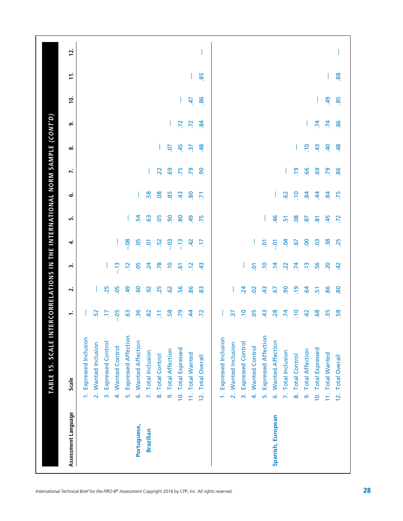| Assessment Language | Scale                                 | ÷               | $\mathbf{v}$    | w               | 4               | ۱ñ                  | ق            | Σ.              | ∞               | െ              | ≌  | $\mathbf{r}$ | 12. |
|---------------------|---------------------------------------|-----------------|-----------------|-----------------|-----------------|---------------------|--------------|-----------------|-----------------|----------------|----|--------------|-----|
|                     | 1. Expressed Inclusion                |                 |                 |                 |                 |                     |              |                 |                 |                |    |              |     |
|                     | 2. Wanted Inclusion                   | 52              |                 |                 |                 |                     |              |                 |                 |                |    |              |     |
|                     | 3. Expressed Control                  | E               | 25              |                 |                 |                     |              |                 |                 |                |    |              |     |
|                     | 4. Wanted Control                     | $-0.05$         | .05             | $\frac{1}{2}$   |                 |                     |              |                 |                 |                |    |              |     |
|                     | 5. Expressed Affection                | $\ddot{6}$      | $\overline{a}$  | ä               | $-0.08$         |                     |              |                 |                 |                |    |              |     |
| Portuguese,         | 6. Wanted Affection                   | 36              | <b>GO</b>       | .05             | <b>95</b>       | $-54$               |              |                 |                 |                |    |              |     |
| <b>Brazilian</b>    | 7. Total Inclusion                    | 82              | $\overline{9}$  | $\overline{24}$ | ē               | 63                  | 58           |                 |                 |                |    |              |     |
|                     | 8. Total Control                      | Ξ               | 25              | .78             | $\ddot{5}$      | .05                 | 08           | 22              |                 |                |    |              |     |
|                     | 9. Total Affection                    | 58              | $\overline{62}$ | $\Xi$           | $-0.3$          | $\overline{90}$     | 85           | 69              | Ο.              |                |    |              |     |
|                     | 10. Total Expressed                   | 55              | 56              | $\overline{6}$  | $\frac{2}{1}$   | 80                  | 43           | 75              | 45              | .72            |    |              |     |
|                     | 11. Total Wanted                      | $\dot{a}$       | 86              | $\ddot{5}$      | £.              | $\overline{a}$      | 80           | .79             | $\overline{37}$ | $\overline{z}$ | 47 |              |     |
|                     | <b>Total Overall</b><br>$\frac{1}{2}$ | $\overline{z}$  | 83              | $\ddot{a}$      | E               | .75                 | 5            | $\overline{90}$ | 48              | $\ddot{a}$     | 86 | 85           |     |
|                     | 1. Expressed Inclusion                |                 |                 |                 |                 |                     |              |                 |                 |                |    |              |     |
|                     | 2. Wanted Inclusion                   | $\overline{37}$ |                 |                 |                 |                     |              |                 |                 |                |    |              |     |
|                     | 3. Expressed Control                  | $\ddot{ }$      | $\overline{24}$ |                 |                 |                     |              |                 |                 |                |    |              |     |
|                     | 4. Wanted Control                     | <b>80</b>       | $\overline{a}$  | $\overline{5}$  |                 |                     |              |                 |                 |                |    |              |     |
|                     | 5. Expressed Affection                | $\frac{4}{3}$   | $\frac{4}{3}$   | $\epsilon$      | ē               |                     |              |                 |                 |                |    |              |     |
| Spanish, European   | 6. Wanted Affection                   | 28              | <u>[9</u>       | $\ddot{a}$      | ΓÓ.             | 46                  |              |                 |                 |                |    |              |     |
|                     | 7. Total Inclusion                    | $\overline{7}$  | $\overline{90}$ | $\overline{2}$  | S.              | $\overline{5}$      | 62           |                 |                 |                |    |              |     |
|                     | 8. Total Control                      | $\ddot{ }$      | $\frac{9}{2}$   | $\overline{7}$  | $\overline{6}$  | $\overline{0}$      | $\ddot{=}$   | e               |                 |                |    |              |     |
|                     | 9. Total Affection                    | $\overline{a}$  | $\overline{a}$  | $\frac{3}{2}$   | S.              | $\overline{8}$      | $\mathbf{g}$ | 66              | $\Xi$           |                |    |              |     |
|                     | 10. Total Expressed                   | 68              | $\overline{5}$  | 56              | $\ddot{\circ}$  | $\overline{\infty}$ | $\dot{a}$    | 69              | $\frac{4}{3}$   | $\overline{7}$ |    |              |     |
|                     | 11. Total Wanted                      | 35              | 86              | 20              | $\overline{38}$ | 45                  | $\mathbf{g}$ | .79             | $\overline{a}$  | .74            | අ  |              |     |
|                     | 12. Total Overall                     |                 |                 |                 |                 |                     |              |                 |                 |                |    |              |     |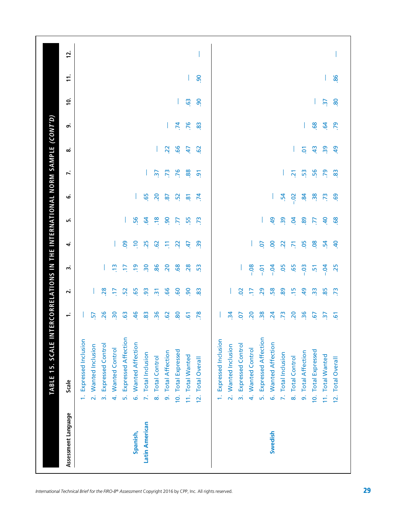| Scale<br>Assessment Language |                        |                     | $\vec{m}$                |                   | ъń                         | Spanish,            | Latin American     |                       |                    |                     |                  | $\overline{2}$ .     |                        |                     | $\vec{m}$                |                   |                        | Swedish             |                    |                  |                    |                     |                       |
|------------------------------|------------------------|---------------------|--------------------------|-------------------|----------------------------|---------------------|--------------------|-----------------------|--------------------|---------------------|------------------|----------------------|------------------------|---------------------|--------------------------|-------------------|------------------------|---------------------|--------------------|------------------|--------------------|---------------------|-----------------------|
|                              | 1. Expressed Inclusion | 2. Wanted Inclusion | <b>Expressed Control</b> | 4. Wanted Control | <b>Expressed Affection</b> | 6. Wanted Affection | 7. Total Inclusion | 8. Total Control      | 9. Total Affection | 10. Total Expressed | 11. Total Wanted | <b>Total Overall</b> | 1. Expressed Inclusion | 2. Wanted Inclusion | <b>Expressed Control</b> | 4. Wanted Control | 5. Expressed Affection | 6. Wanted Affection | 7. Total Inclusion | 8. Total Control | 9. Total Affection | 10. Total Expressed | 11. Total Wanted      |
| ÷                            |                        | 57                  | 26                       | $\frac{1}{20}$    | <b>G3</b>                  | $\frac{46}{5}$      | 83                 | $\frac{36}{5}$        | $\overline{6}$     | 80                  | $\overline{6}$   | 78                   |                        | $\mathbf{r}$        | 5o                       | 20                | $\frac{8}{20}$         | $\overline{24}$     | $\overline{73}$    | 20               | $\overline{36}$    | <u>c</u>            | $\tilde{\varepsilon}$ |
| $\overline{\mathbf{v}}$      |                        |                     | 28                       | H                 | 52                         | 65                  | $\overline{9}$     | $\overline{2}$        | 99                 | <b>GO</b>           | $\overline{90}$  | 83                   |                        |                     | So                       | E                 | 29                     | 58                  | 89                 | $\ddot{5}$       | $\overline{a}$     | $\frac{3}{2}$       | 85                    |
| m                            |                        |                     |                          | e                 | F                          | <u>er</u>           | $\overline{30}$    | 86                    | 20                 | 68                  | 28               | 53                   |                        |                     |                          | $-0.08$           | $-0.7$                 | $-0.04$             | <b>95</b>          | 65               | $-03$              | ιġ                  | $-0.4$                |
| ₹                            |                        |                     |                          |                   | 8                          | <u>ي</u>            | 25                 | $\overline{5}$        | Ξ                  | $\overline{2}$      | 47               | 39                   |                        |                     |                          |                   | ρÓ                     | 8                   | $\overline{2}$     | 5                | 80                 | $\overline{0}$      | $\mathbf{54}$         |
| மி                           |                        |                     |                          |                   | I                          | 56                  | $\overline{a}$     | $\frac{8}{10}$        | $\overline{90}$    | F.                  | 55               | .73                  |                        |                     |                          |                   |                        | $\overline{5}$      | $\overline{39}$    | S.               | 89                 | F.                  | $\overline{a}$        |
| ق                            |                        |                     |                          |                   |                            |                     | 65                 | $\overline{5}$        | $\overline{8}$     | 52                  | $\overline{8}$   | $\overline{74}$      |                        |                     |                          |                   |                        |                     | 54                 | S                | $\ddot{a}$         | $\overline{38}$     | .73                   |
| r.                           |                        |                     |                          |                   |                            |                     |                    | $\tilde{\mathcal{E}}$ | $\overline{73}$    | .76                 | 88               | $\overline{5}$       |                        |                     |                          |                   |                        |                     |                    | $\overline{N}$   | 53                 | 56                  | $\overline{56}$       |
| ∞                            |                        |                     |                          |                   |                            |                     |                    |                       | $\overline{2}$     | 66                  | $\ddot{t}$       | <b>G</b>             |                        |                     |                          |                   |                        |                     |                    |                  | $\overline{5}$     | $\frac{4}{3}$       | $\overline{39}$       |
| ெ                            |                        |                     |                          |                   |                            |                     |                    |                       |                    | $\overline{74}$     | .76              | 83                   |                        |                     |                          |                   |                        |                     |                    |                  |                    | 89.                 | $\overline{5}$        |
| $\overline{c}$               |                        |                     |                          |                   |                            |                     |                    |                       |                    |                     | $\overline{6}$   | 8                    |                        |                     |                          |                   |                        |                     |                    |                  |                    |                     | $\overline{37}$       |
| $\mathbf{r}$                 |                        |                     |                          |                   |                            |                     |                    |                       |                    |                     |                  | 8                    |                        |                     |                          |                   |                        |                     |                    |                  |                    |                     |                       |
| 12.                          |                        |                     |                          |                   |                            |                     |                    |                       |                    |                     |                  |                      |                        |                     |                          |                   |                        |                     |                    |                  |                    |                     |                       |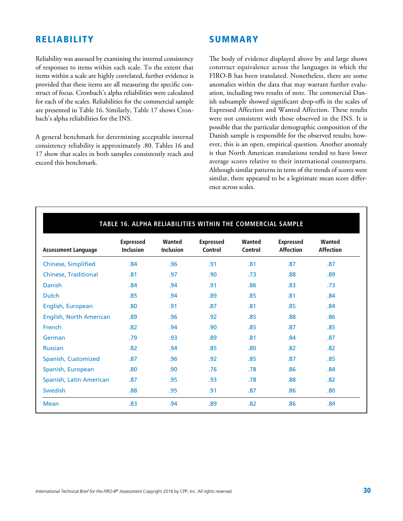### RELIABILITY

**SUMMARY** 

Reliability was assessed by examining the internal consistency of responses to items within each scale. To the extent that items within a scale are highly correlated, further evidence is provided that these items are all measuring the specific construct of focus. Cronbach's alpha reliabilities were calculated for each of the scales. Reliabilities for the commercial sample are presented in Table 16. Similarly, Table 17 shows Cronbach's alpha reliabilities for the INS.

A general benchmark for determining acceptable internal consistency reliability is approximately .80. Tables 16 and 17 show that scales in both samples consistently reach and exceed this benchmark.

The body of evidence displayed above by and large shows construct equivalence across the languages in which the FIRO-B has been translated. Nonetheless, there are some anomalies within the data that may warrant further evaluation, including two results of note. The commercial Danish subsample showed significant drop-offs in the scales of Expressed Affection and Wanted Affection. These results were not consistent with those observed in the INS. It is possible that the particular demographic composition of the Danish sample is responsible for the observed results; however, this is an open, empirical question. Another anomaly is that North American translations tended to have lower average scores relative to their international counterparts. Although similar patterns in term of the trends of scores were similar, there appeared to be a legitimate mean score difference across scales.

| <b>Assessment Language</b>     | <b>Expressed</b><br><b>Inclusion</b> | Wanted<br><b>Inclusion</b> | <b>Expressed</b><br>Control | Wanted<br>Control | <b>Expressed</b><br><b>Affection</b> | Wanted<br><b>Affection</b> |
|--------------------------------|--------------------------------------|----------------------------|-----------------------------|-------------------|--------------------------------------|----------------------------|
| <b>Chinese, Simplified</b>     | .84                                  | .96                        | .91                         | .81               | .87                                  | .87                        |
| <b>Chinese, Traditional</b>    | .81                                  | .97                        | .90                         | .73               | .88                                  | .89                        |
| Danish                         | .84                                  | .94                        | .91                         | .86               | .83                                  | .73                        |
| <b>Dutch</b>                   | .85                                  | .94                        | .89                         | .85               | .81                                  | .84                        |
| English, European              | .80                                  | .91                        | .87                         | .81               | .85                                  | .84                        |
| <b>English, North American</b> | .89                                  | .96                        | .92                         | .85               | .88                                  | .86                        |
| French                         | .82                                  | .94                        | .90                         | .85               | .87                                  | .85                        |
| German                         | .79                                  | .93                        | .89                         | .81               | .84                                  | .87                        |
| <b>Russian</b>                 | .82                                  | .94                        | .85                         | .80               | .82                                  | .82                        |
| Spanish, Customized            | .87                                  | .96                        | .92                         | .85               | .87                                  | .85                        |
| Spanish, European              | .80                                  | .90                        | .76                         | .78               | .86                                  | .84                        |
| Spanish, Latin American        | .87                                  | .95                        | .93                         | .78               | .88                                  | .82                        |
| Swedish                        | .88                                  | .95                        | .91                         | .87               | .86                                  | .80                        |
| <b>Mean</b>                    | .83                                  | .94                        | .89                         | .82               | .86                                  | .84                        |

#### **TABLE 16. ALPHA RELIABILITIES WITHIN THE COMMERCIAL SAMPLE**